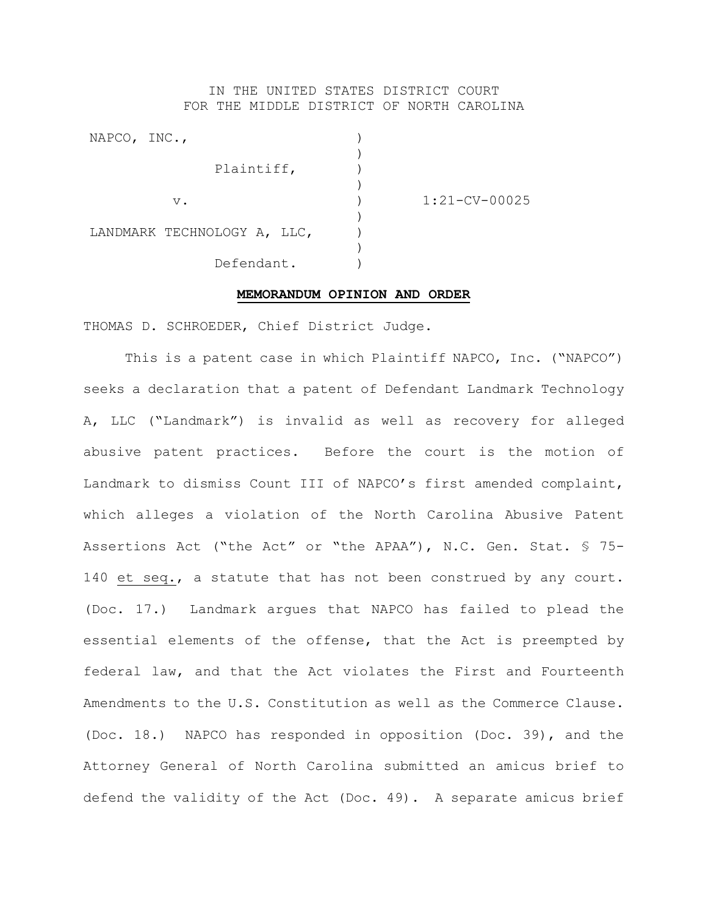# IN THE UNITED STATES DISTRICT COURT FOR THE MIDDLE DISTRICT OF NORTH CAROLINA

| NAPCO, $INC.,$              |                 |
|-----------------------------|-----------------|
| Plaintiff,                  |                 |
| $V$ .                       | $1:21-CV-00025$ |
| LANDMARK TECHNOLOGY A, LLC, |                 |
| Defendant.                  |                 |

#### **MEMORANDUM OPINION AND ORDER**

THOMAS D. SCHROEDER, Chief District Judge.

This is a patent case in which Plaintiff NAPCO, Inc. ("NAPCO") seeks a declaration that a patent of Defendant Landmark Technology A, LLC ("Landmark") is invalid as well as recovery for alleged abusive patent practices. Before the court is the motion of Landmark to dismiss Count III of NAPCO's first amended complaint, which alleges a violation of the North Carolina Abusive Patent Assertions Act ("the Act" or "the APAA"), N.C. Gen. Stat. § 75- 140 et seq., a statute that has not been construed by any court. (Doc. 17.) Landmark argues that NAPCO has failed to plead the essential elements of the offense, that the Act is preempted by federal law, and that the Act violates the First and Fourteenth Amendments to the U.S. Constitution as well as the Commerce Clause. (Doc. 18.) NAPCO has responded in opposition (Doc. 39), and the Attorney General of North Carolina submitted an amicus brief to defend the validity of the Act (Doc. 49). A separate amicus brief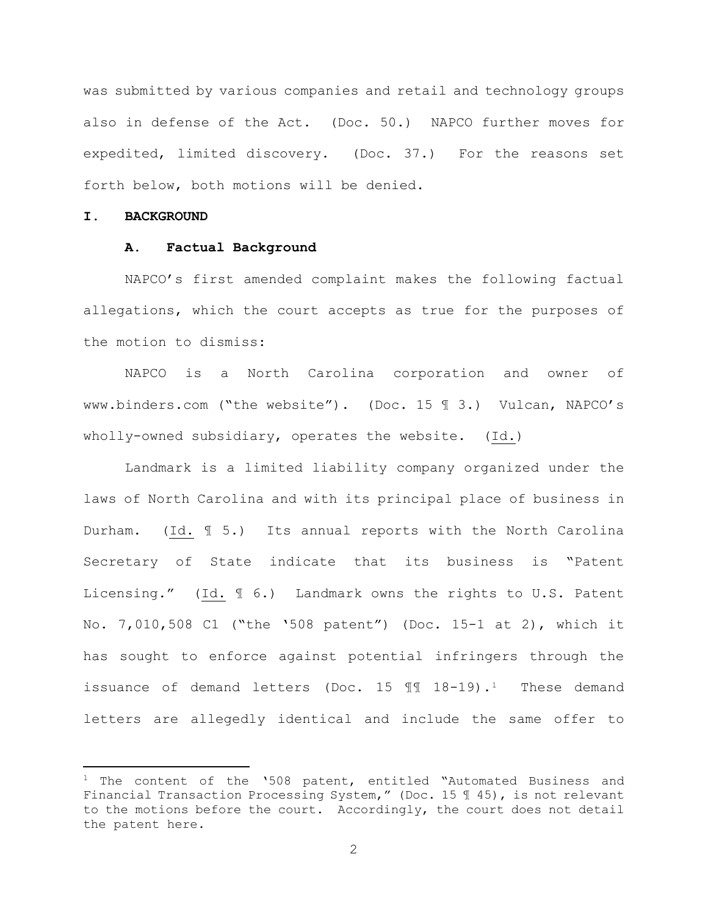was submitted by various companies and retail and technology groups also in defense of the Act. (Doc. 50.) NAPCO further moves for expedited, limited discovery. (Doc. 37.) For the reasons set forth below, both motions will be denied.

# **I. BACKGROUND**

# **A. Factual Background**

NAPCO's first amended complaint makes the following factual allegations, which the court accepts as true for the purposes of the motion to dismiss:

NAPCO is a North Carolina corporation and owner of www.binders.com ("the website"). (Doc. 15 ¶ 3.) Vulcan, NAPCO's wholly-owned subsidiary, operates the website. (Id.)

Landmark is a limited liability company organized under the laws of North Carolina and with its principal place of business in Durham. (Id. ¶ 5.) Its annual reports with the North Carolina Secretary of State indicate that its business is "Patent Licensing." (Id. ¶ 6.) Landmark owns the rights to U.S. Patent No. 7,010,508 C1 ("the '508 patent") (Doc. 15-1 at 2), which it has sought to enforce against potential infringers through the issuance of demand letters (Doc. 15  $\mathbb{II}$  18-19).<sup>1</sup> These demand letters are allegedly identical and include the same offer to

 $1$  The content of the '508 patent, entitled "Automated Business and Financial Transaction Processing System," (Doc. 15  $\text{\textsterling}$  45), is not relevant to the motions before the court. Accordingly, the court does not detail the patent here.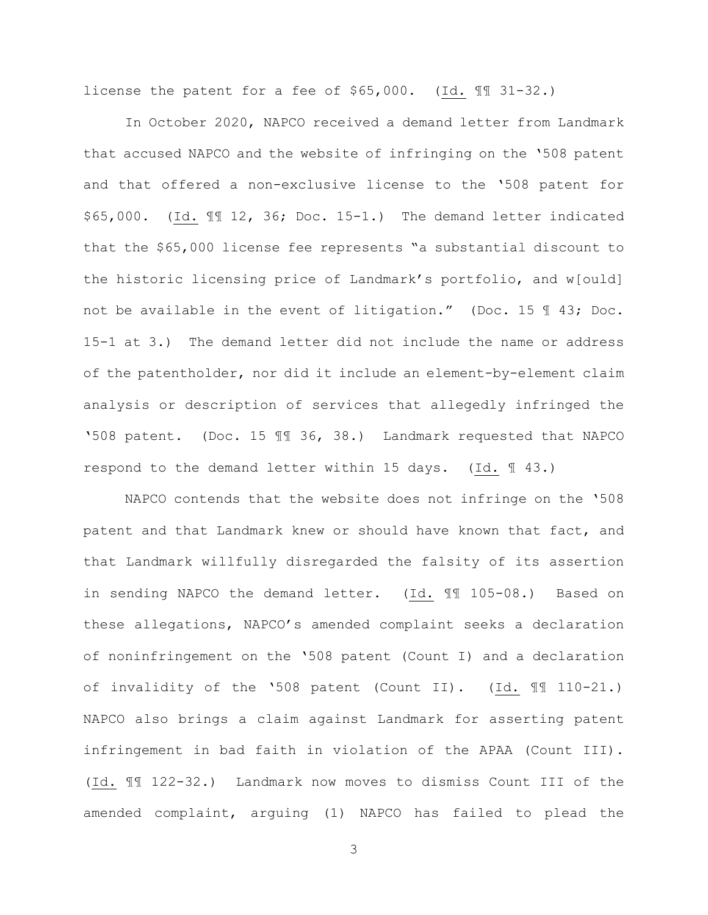license the patent for a fee of \$65,000. (Id. ¶¶ 31-32.)

In October 2020, NAPCO received a demand letter from Landmark that accused NAPCO and the website of infringing on the '508 patent and that offered a non-exclusive license to the '508 patent for \$65,000. (Id. ¶¶ 12, 36; Doc. 15-1.) The demand letter indicated that the \$65,000 license fee represents "a substantial discount to the historic licensing price of Landmark's portfolio, and w[ould] not be available in the event of litigation." (Doc. 15 ¶ 43; Doc. 15-1 at 3.) The demand letter did not include the name or address of the patentholder, nor did it include an element-by-element claim analysis or description of services that allegedly infringed the '508 patent. (Doc. 15 ¶¶ 36, 38.) Landmark requested that NAPCO respond to the demand letter within 15 days. (Id. ¶ 43.)

NAPCO contends that the website does not infringe on the '508 patent and that Landmark knew or should have known that fact, and that Landmark willfully disregarded the falsity of its assertion in sending NAPCO the demand letter. (Id. ¶¶ 105-08.) Based on these allegations, NAPCO's amended complaint seeks a declaration of noninfringement on the '508 patent (Count I) and a declaration of invalidity of the '508 patent (Count II). (Id. ¶¶ 110-21.) NAPCO also brings a claim against Landmark for asserting patent infringement in bad faith in violation of the APAA (Count III). (Id. ¶¶ 122-32.) Landmark now moves to dismiss Count III of the amended complaint, arguing (1) NAPCO has failed to plead the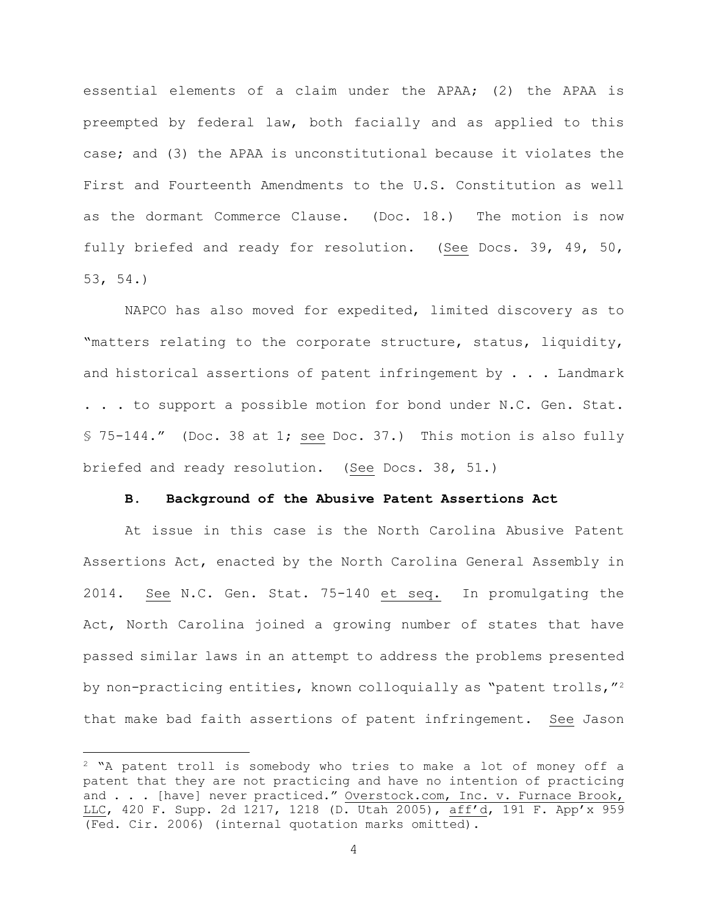essential elements of a claim under the APAA; (2) the APAA is preempted by federal law, both facially and as applied to this case; and (3) the APAA is unconstitutional because it violates the First and Fourteenth Amendments to the U.S. Constitution as well as the dormant Commerce Clause. (Doc. 18.) The motion is now fully briefed and ready for resolution. (See Docs. 39, 49, 50, 53, 54.)

NAPCO has also moved for expedited, limited discovery as to "matters relating to the corporate structure, status, liquidity, and historical assertions of patent infringement by . . . Landmark . . . to support a possible motion for bond under N.C. Gen. Stat. § 75-144." (Doc. 38 at 1; see Doc. 37.) This motion is also fully briefed and ready resolution. (See Docs. 38, 51.)

### **B. Background of the Abusive Patent Assertions Act**

At issue in this case is the North Carolina Abusive Patent Assertions Act, enacted by the North Carolina General Assembly in 2014. See N.C. Gen. Stat. 75-140 et seq. In promulgating the Act, North Carolina joined a growing number of states that have passed similar laws in an attempt to address the problems presented by non-practicing entities, known colloquially as "patent trolls,"<sup>2</sup> that make bad faith assertions of patent infringement. See Jason

 $2$  "A patent troll is somebody who tries to make a lot of money off a patent that they are not practicing and have no intention of practicing and . . . [have] never practiced." Overstock.com, Inc. v. Furnace Brook, LLC, 420 F. Supp. 2d 1217, 1218 (D. Utah 2005), aff'd, 191 F. App'x 959 (Fed. Cir. 2006) (internal quotation marks omitted).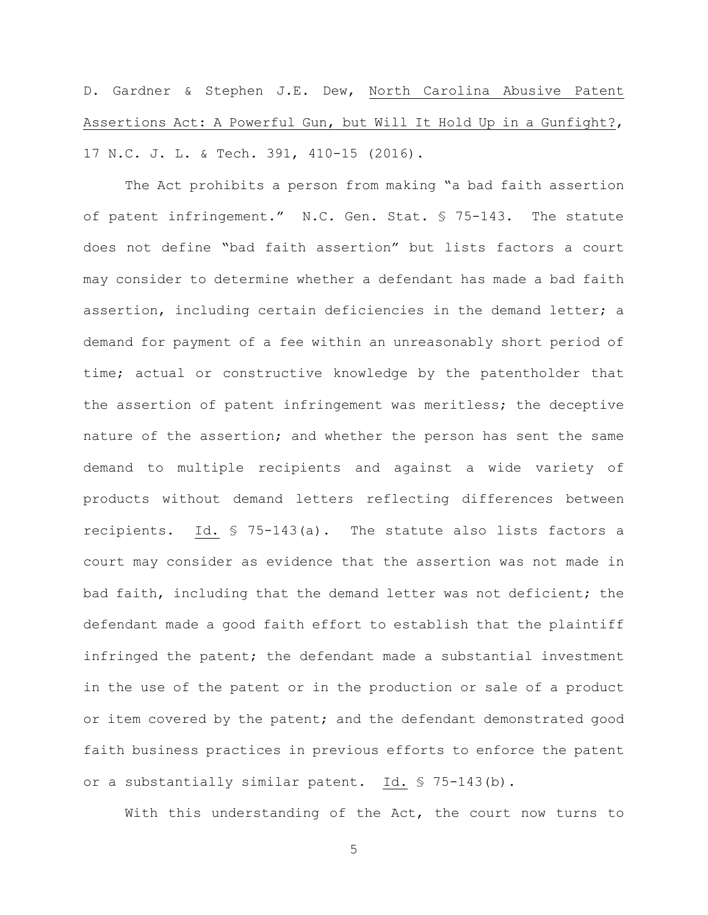D. Gardner & Stephen J.E. Dew, North Carolina Abusive Patent Assertions Act: A Powerful Gun, but Will It Hold Up in a Gunfight?, 17 N.C. J. L. & Tech. 391, 410-15 (2016).

The Act prohibits a person from making "a bad faith assertion of patent infringement." N.C. Gen. Stat. § 75-143. The statute does not define "bad faith assertion" but lists factors a court may consider to determine whether a defendant has made a bad faith assertion, including certain deficiencies in the demand letter; a demand for payment of a fee within an unreasonably short period of time; actual or constructive knowledge by the patentholder that the assertion of patent infringement was meritless; the deceptive nature of the assertion; and whether the person has sent the same demand to multiple recipients and against a wide variety of products without demand letters reflecting differences between recipients. Id. § 75-143(a). The statute also lists factors a court may consider as evidence that the assertion was not made in bad faith, including that the demand letter was not deficient; the defendant made a good faith effort to establish that the plaintiff infringed the patent; the defendant made a substantial investment in the use of the patent or in the production or sale of a product or item covered by the patent; and the defendant demonstrated good faith business practices in previous efforts to enforce the patent or a substantially similar patent. Id. § 75-143(b).

With this understanding of the Act, the court now turns to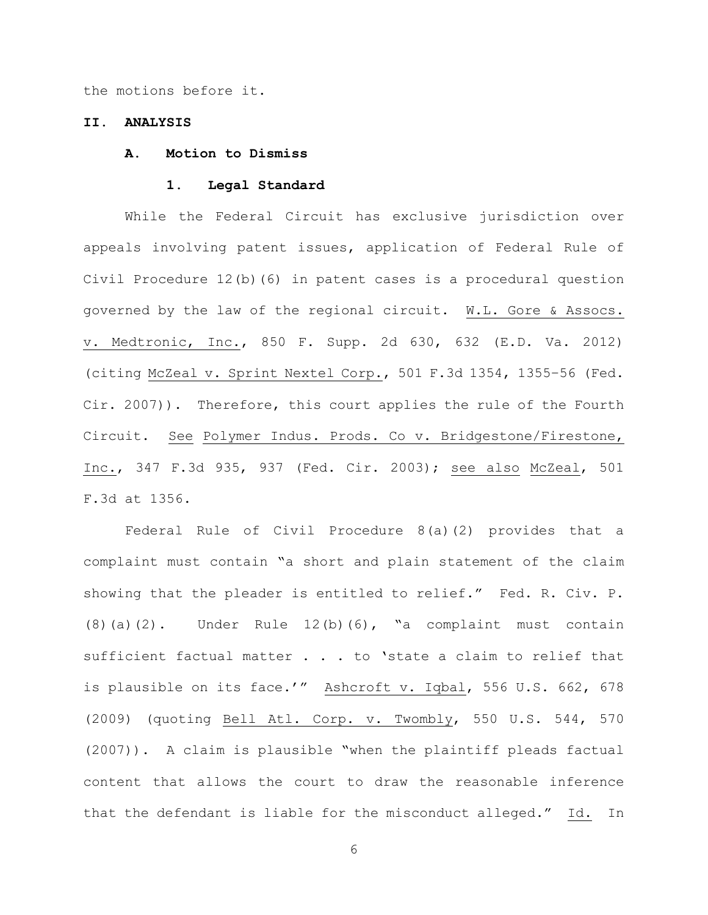the motions before it.

# **II. ANALYSIS**

# **A. Motion to Dismiss**

# **1. Legal Standard**

While the Federal Circuit has exclusive jurisdiction over appeals involving patent issues, application of Federal Rule of Civil Procedure 12(b)(6) in patent cases is a procedural question governed by the law of the regional circuit. W.L. Gore & Assocs. v. Medtronic, Inc., 850 F. Supp. 2d 630, 632 (E.D. Va. 2012) (citing McZeal v. Sprint Nextel Corp., 501 F.3d 1354, 1355–56 (Fed. Cir. 2007)). Therefore, this court applies the rule of the Fourth Circuit. See Polymer Indus. Prods. Co v. Bridgestone/Firestone, Inc., 347 F.3d 935, 937 (Fed. Cir. 2003); see also McZeal, 501 F.3d at 1356.

Federal Rule of Civil Procedure 8(a)(2) provides that a complaint must contain "a short and plain statement of the claim showing that the pleader is entitled to relief." Fed. R. Civ. P.  $(8)(a)(2)$ . Under Rule 12(b)(6), "a complaint must contain sufficient factual matter . . . to 'state a claim to relief that is plausible on its face.'" Ashcroft v. Iqbal, 556 U.S. 662, 678 (2009) (quoting Bell Atl. Corp. v. Twombly, 550 U.S. 544, 570 (2007)). A claim is plausible "when the plaintiff pleads factual content that allows the court to draw the reasonable inference that the defendant is liable for the misconduct alleged." Id. In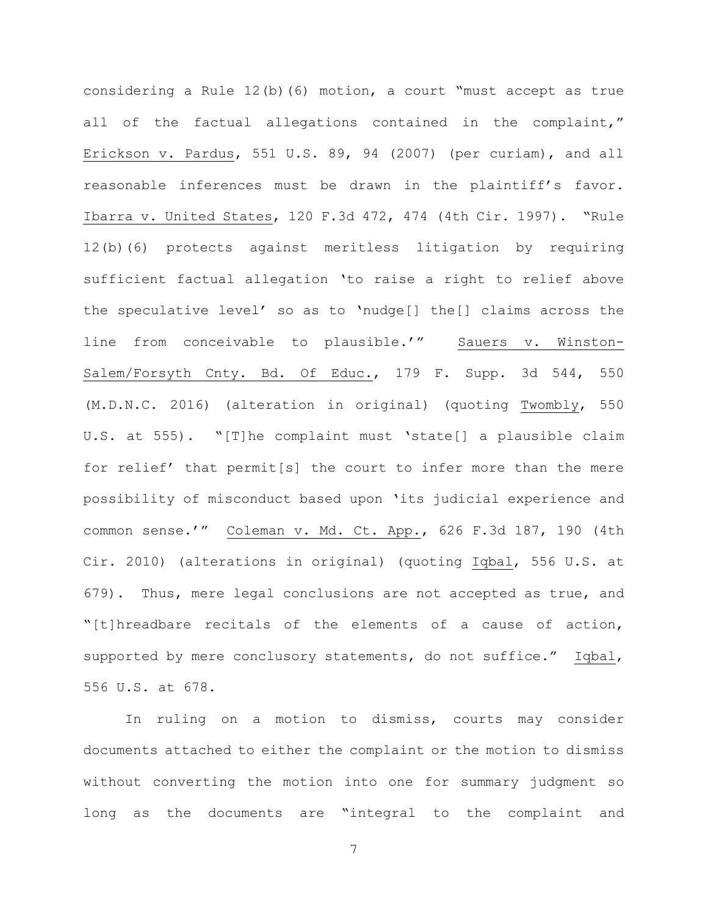considering a Rule 12(b)(6) motion, a court "must accept as true all of the factual allegations contained in the complaint," Erickson v. Pardus, 551 U.S. 89, 94 (2007) (per curiam), and all reasonable inferences must be drawn in the plaintiff's favor. Ibarra v. United States, 120 F.3d 472, 474 (4th Cir. 1997). "Rule 12(b)(6) protects against meritless litigation by requiring sufficient factual allegation 'to raise a right to relief above the speculative level' so as to 'nudge[] the[] claims across the line from conceivable to plausible.'" Sauers v. Winston-Salem/Forsyth Cnty. Bd. Of Educ., 179 F. Supp. 3d 544, 550 (M.D.N.C. 2016) (alteration in original) (quoting Twombly, 550 U.S. at 555). "[T]he complaint must 'state[] a plausible claim for relief' that permit[s] the court to infer more than the mere possibility of misconduct based upon 'its judicial experience and common sense.'" Coleman v. Md. Ct. App., 626 F.3d 187, 190 (4th Cir. 2010) (alterations in original) (quoting Iqbal, 556 U.S. at 679). Thus, mere legal conclusions are not accepted as true, and "[t]hreadbare recitals of the elements of a cause of action, supported by mere conclusory statements, do not suffice." Iqbal, 556 U.S. at 678.

In ruling on a motion to dismiss, courts may consider documents attached to either the complaint or the motion to dismiss without converting the motion into one for summary judgment so long as the documents are "integral to the complaint and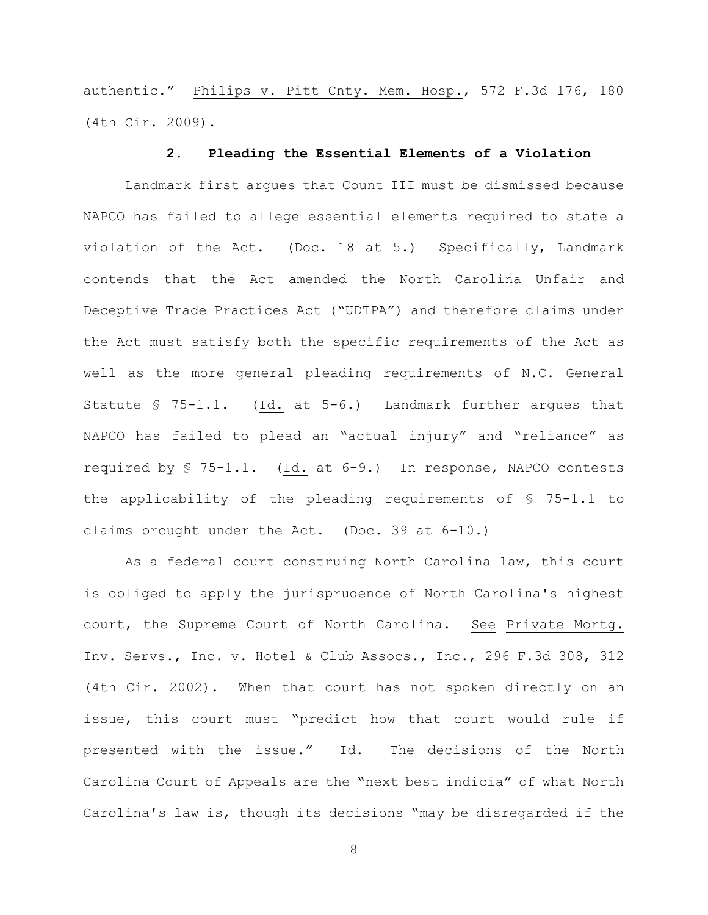authentic." Philips v. Pitt Cnty. Mem. Hosp., 572 F.3d 176, 180 (4th Cir. 2009).

# **2. Pleading the Essential Elements of a Violation**

Landmark first argues that Count III must be dismissed because NAPCO has failed to allege essential elements required to state a violation of the Act. (Doc. 18 at 5.) Specifically, Landmark contends that the Act amended the North Carolina Unfair and Deceptive Trade Practices Act ("UDTPA") and therefore claims under the Act must satisfy both the specific requirements of the Act as well as the more general pleading requirements of N.C. General Statute § 75-1.1. (Id. at 5-6.) Landmark further argues that NAPCO has failed to plead an "actual injury" and "reliance" as required by § 75-1.1. (Id. at 6-9.) In response, NAPCO contests the applicability of the pleading requirements of § 75-1.1 to claims brought under the Act. (Doc. 39 at 6-10.)

As a federal court construing North Carolina law, this court is obliged to apply the jurisprudence of North Carolina's highest court, the Supreme Court of North Carolina. See Private Mortg. Inv. Servs., Inc. v. Hotel & Club Assocs., Inc., 296 F.3d 308, 312 (4th Cir. 2002). When that court has not spoken directly on an issue, this court must "predict how that court would rule if presented with the issue." Id. The decisions of the North Carolina Court of Appeals are the "next best indicia" of what North Carolina's law is, though its decisions "may be disregarded if the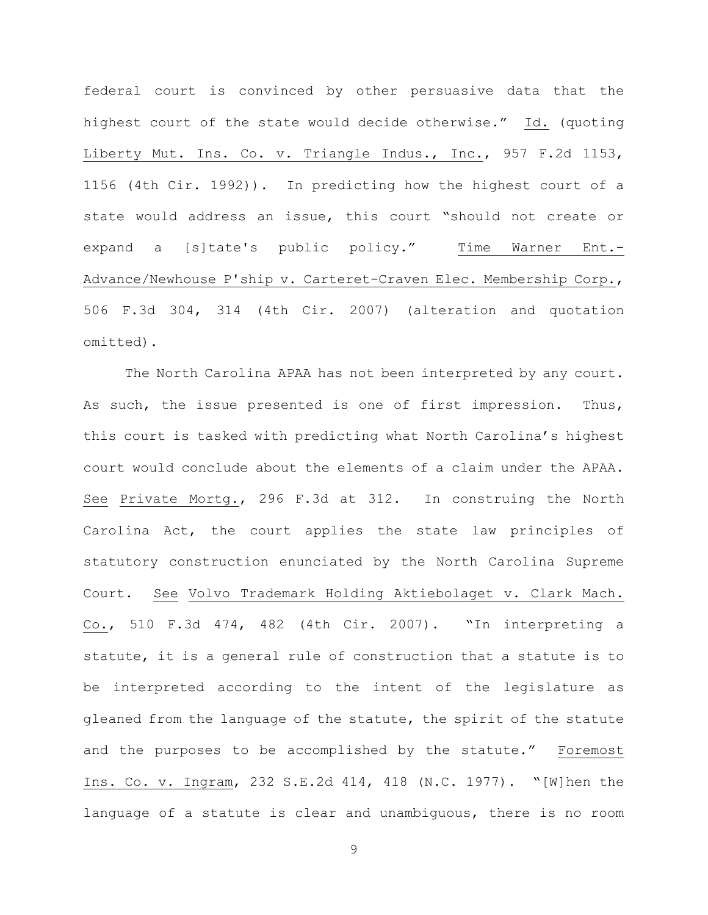federal court is convinced by other persuasive data that the highest court of the state would decide otherwise." Id. (quoting Liberty Mut. Ins. Co. v. Triangle Indus., Inc., 957 F.2d 1153, 1156 (4th Cir. 1992)). In predicting how the highest court of a state would address an issue, this court "should not create or expand a [s]tate's public policy." Time Warner Ent.- Advance/Newhouse P'ship v. Carteret-Craven Elec. Membership Corp., 506 F.3d 304, 314 (4th Cir. 2007) (alteration and quotation omitted).

The North Carolina APAA has not been interpreted by any court. As such, the issue presented is one of first impression. Thus, this court is tasked with predicting what North Carolina's highest court would conclude about the elements of a claim under the APAA. See Private Mortg., 296 F.3d at 312. In construing the North Carolina Act, the court applies the state law principles of statutory construction enunciated by the North Carolina Supreme Court. See Volvo Trademark Holding Aktiebolaget v. Clark Mach. Co., 510 F.3d 474, 482 (4th Cir. 2007). "In interpreting a statute, it is a general rule of construction that a statute is to be interpreted according to the intent of the legislature as gleaned from the language of the statute, the spirit of the statute and the purposes to be accomplished by the statute." Foremost Ins. Co. v. Ingram, 232 S.E.2d 414, 418 (N.C. 1977). "[W]hen the language of a statute is clear and unambiguous, there is no room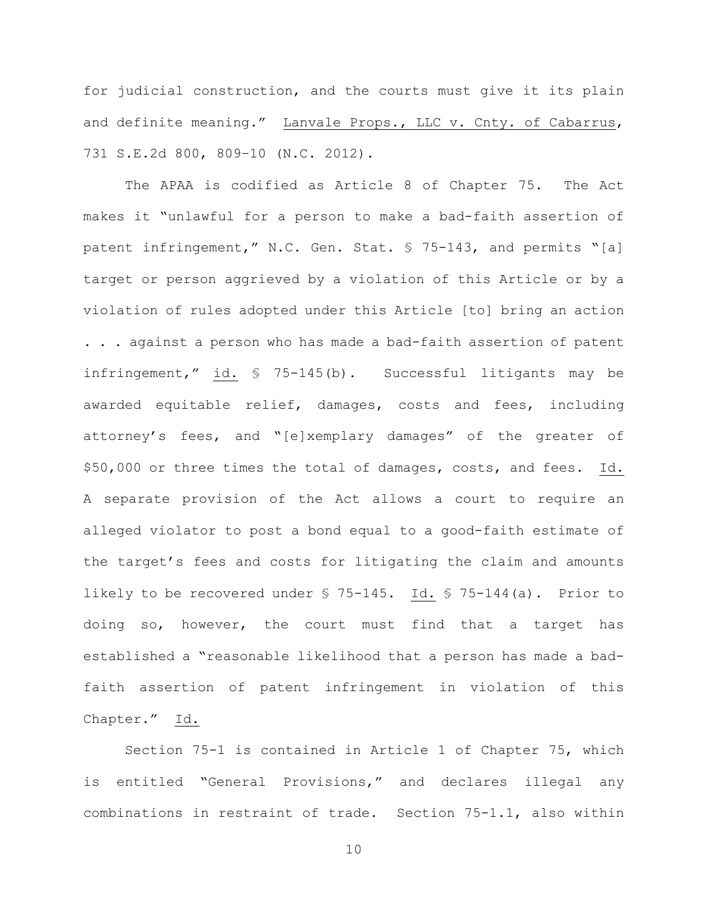for judicial construction, and the courts must give it its plain and definite meaning." Lanvale Props., LLC v. Cnty. of Cabarrus, 731 S.E.2d 800, 809–10 (N.C. 2012).

The APAA is codified as Article 8 of Chapter 75. The Act makes it "unlawful for a person to make a bad-faith assertion of patent infringement," N.C. Gen. Stat. § 75-143, and permits "[a] target or person aggrieved by a violation of this Article or by a violation of rules adopted under this Article [to] bring an action . . . against a person who has made a bad-faith assertion of patent infringement," id. § 75-145(b). Successful litigants may be awarded equitable relief, damages, costs and fees, including attorney's fees, and "[e]xemplary damages" of the greater of \$50,000 or three times the total of damages, costs, and fees. Id. A separate provision of the Act allows a court to require an alleged violator to post a bond equal to a good-faith estimate of the target's fees and costs for litigating the claim and amounts likely to be recovered under § 75-145. Id. § 75-144(a). Prior to doing so, however, the court must find that a target has established a "reasonable likelihood that a person has made a badfaith assertion of patent infringement in violation of this Chapter." Id.

Section 75-1 is contained in Article 1 of Chapter 75, which is entitled "General Provisions," and declares illegal any combinations in restraint of trade. Section 75-1.1, also within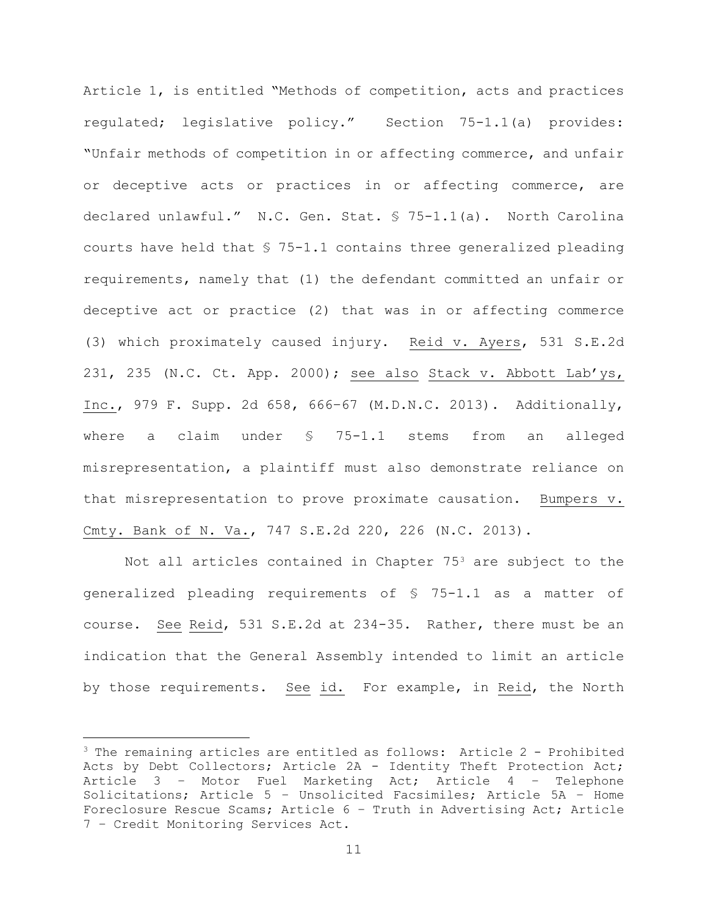Article 1, is entitled "Methods of competition, acts and practices regulated; legislative policy." Section 75-1.1(a) provides: "Unfair methods of competition in or affecting commerce, and unfair or deceptive acts or practices in or affecting commerce, are declared unlawful." N.C. Gen. Stat. § 75-1.1(a). North Carolina courts have held that § 75-1.1 contains three generalized pleading requirements, namely that (1) the defendant committed an unfair or deceptive act or practice (2) that was in or affecting commerce (3) which proximately caused injury. Reid v. Ayers, 531 S.E.2d 231, 235 (N.C. Ct. App. 2000); see also Stack v. Abbott Lab'ys, Inc., 979 F. Supp. 2d 658, 666–67 (M.D.N.C. 2013). Additionally, where a claim under § 75-1.1 stems from an alleged misrepresentation, a plaintiff must also demonstrate reliance on that misrepresentation to prove proximate causation. Bumpers v. Cmty. Bank of N. Va., 747 S.E.2d 220, 226 (N.C. 2013).

Not all articles contained in Chapter  $75<sup>3</sup>$  are subject to the generalized pleading requirements of § 75-1.1 as a matter of course. See Reid, 531 S.E.2d at 234-35. Rather, there must be an indication that the General Assembly intended to limit an article by those requirements. See id. For example, in Reid, the North

<sup>3</sup> The remaining articles are entitled as follows: Article 2 - Prohibited Acts by Debt Collectors; Article 2A - Identity Theft Protection Act; Article 3 – Motor Fuel Marketing Act; Article 4 – Telephone Solicitations; Article 5 – Unsolicited Facsimiles; Article 5A – Home Foreclosure Rescue Scams; Article 6 – Truth in Advertising Act; Article 7 – Credit Monitoring Services Act.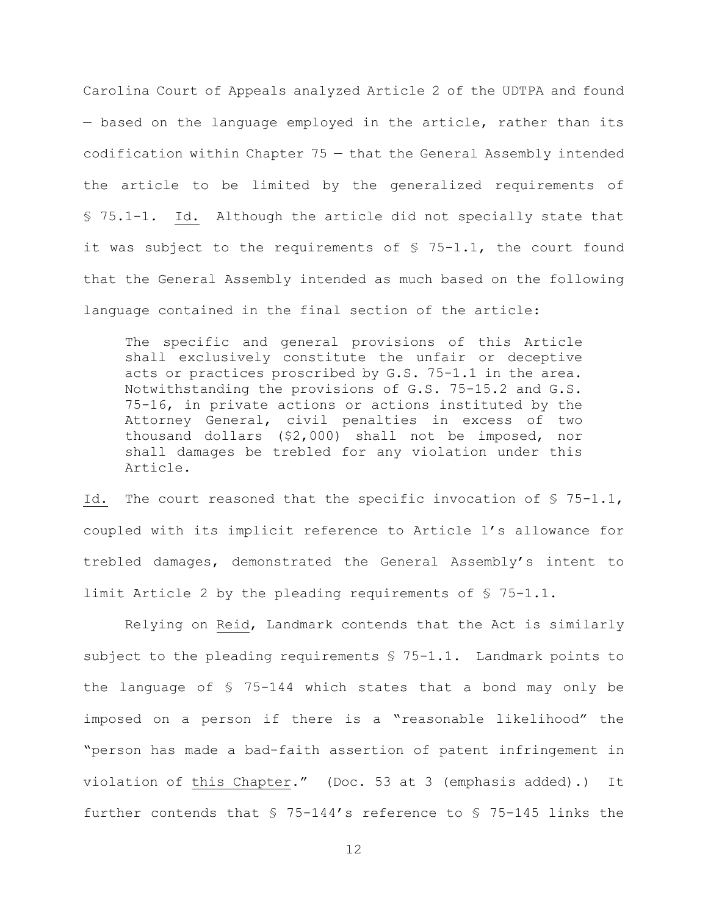Carolina Court of Appeals analyzed Article 2 of the UDTPA and found — based on the language employed in the article, rather than its codification within Chapter  $75 -$  that the General Assembly intended the article to be limited by the generalized requirements of § 75.1-1. Id. Although the article did not specially state that it was subject to the requirements of § 75-1.1, the court found that the General Assembly intended as much based on the following language contained in the final section of the article:

The specific and general provisions of this Article shall exclusively constitute the unfair or deceptive acts or practices proscribed by G.S. 75-1.1 in the area. Notwithstanding the provisions of G.S. 75-15.2 and G.S. 75-16, in private actions or actions instituted by the Attorney General, civil penalties in excess of two thousand dollars (\$2,000) shall not be imposed, nor shall damages be trebled for any violation under this Article.

Id. The court reasoned that the specific invocation of § 75-1.1, coupled with its implicit reference to Article 1's allowance for trebled damages, demonstrated the General Assembly's intent to limit Article 2 by the pleading requirements of § 75-1.1.

Relying on Reid, Landmark contends that the Act is similarly subject to the pleading requirements  $$ 75-1.1.$  Landmark points to the language of § 75-144 which states that a bond may only be imposed on a person if there is a "reasonable likelihood" the "person has made a bad-faith assertion of patent infringement in violation of this Chapter." (Doc. 53 at 3 (emphasis added).) It further contends that § 75-144's reference to § 75-145 links the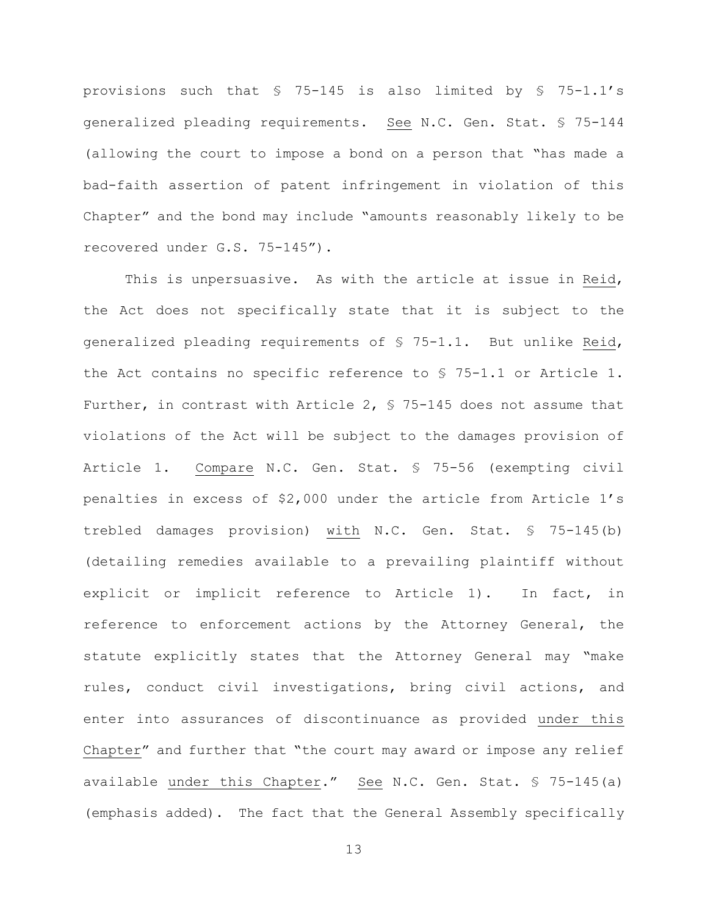provisions such that § 75-145 is also limited by § 75-1.1's generalized pleading requirements. See N.C. Gen. Stat. § 75-144 (allowing the court to impose a bond on a person that "has made a bad-faith assertion of patent infringement in violation of this Chapter" and the bond may include "amounts reasonably likely to be recovered under G.S. 75-145").

This is unpersuasive. As with the article at issue in Reid, the Act does not specifically state that it is subject to the generalized pleading requirements of § 75-1.1. But unlike Reid, the Act contains no specific reference to § 75-1.1 or Article 1. Further, in contrast with Article 2, § 75-145 does not assume that violations of the Act will be subject to the damages provision of Article 1. Compare N.C. Gen. Stat. § 75-56 (exempting civil penalties in excess of \$2,000 under the article from Article 1's trebled damages provision) with N.C. Gen. Stat. § 75-145(b) (detailing remedies available to a prevailing plaintiff without explicit or implicit reference to Article 1). In fact, in reference to enforcement actions by the Attorney General, the statute explicitly states that the Attorney General may "make rules, conduct civil investigations, bring civil actions, and enter into assurances of discontinuance as provided under this Chapter" and further that "the court may award or impose any relief available under this Chapter." See N.C. Gen. Stat. § 75-145(a) (emphasis added). The fact that the General Assembly specifically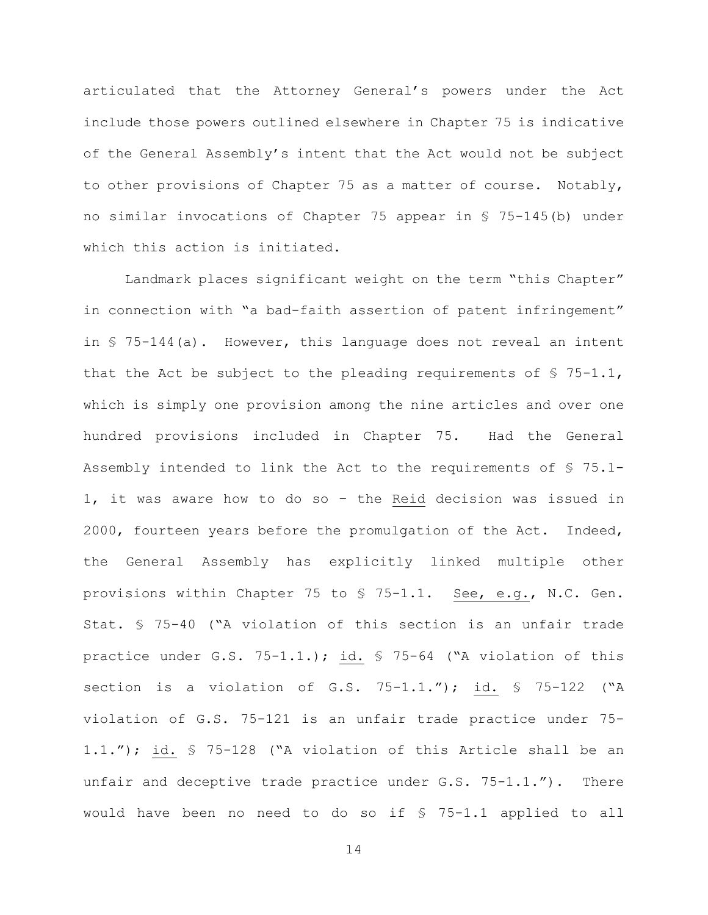articulated that the Attorney General's powers under the Act include those powers outlined elsewhere in Chapter 75 is indicative of the General Assembly's intent that the Act would not be subject to other provisions of Chapter 75 as a matter of course. Notably, no similar invocations of Chapter 75 appear in § 75-145(b) under which this action is initiated.

Landmark places significant weight on the term "this Chapter" in connection with "a bad-faith assertion of patent infringement" in § 75-144(a). However, this language does not reveal an intent that the Act be subject to the pleading requirements of  $\S$  75-1.1, which is simply one provision among the nine articles and over one hundred provisions included in Chapter 75. Had the General Assembly intended to link the Act to the requirements of § 75.1- 1, it was aware how to do so – the Reid decision was issued in 2000, fourteen years before the promulgation of the Act. Indeed, the General Assembly has explicitly linked multiple other provisions within Chapter 75 to § 75-1.1. See, e.g., N.C. Gen. Stat. § 75-40 ("A violation of this section is an unfair trade practice under G.S. 75-1.1.); id. § 75-64 ("A violation of this section is a violation of G.S. 75-1.1."); id. § 75-122 ("A violation of G.S. 75-121 is an unfair trade practice under 75- 1.1."); id. § 75-128 ("A violation of this Article shall be an unfair and deceptive trade practice under G.S. 75-1.1."). There would have been no need to do so if § 75-1.1 applied to all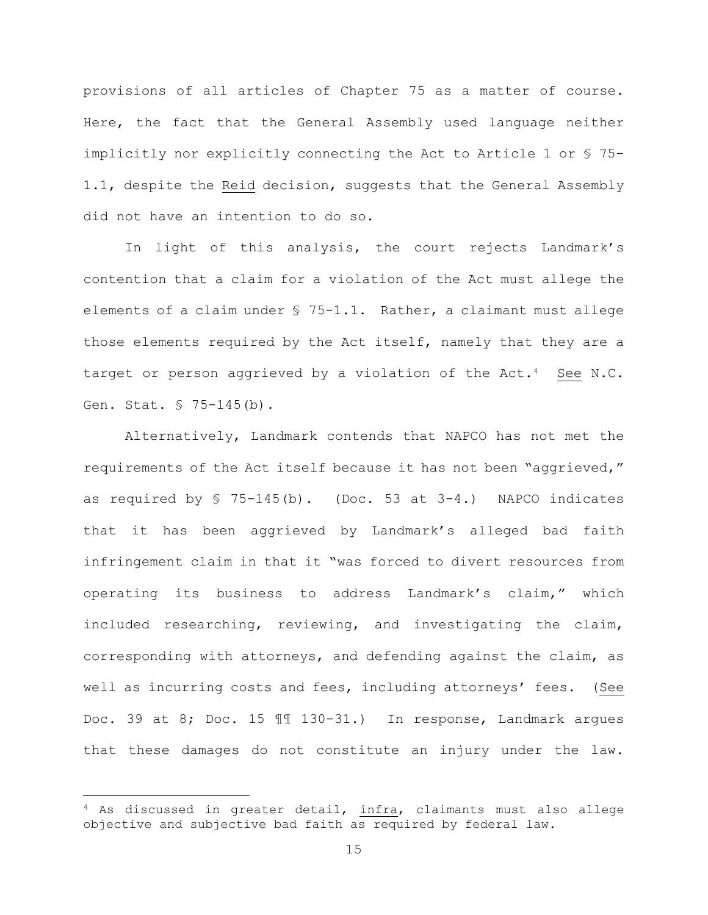provisions of all articles of Chapter 75 as a matter of course. Here, the fact that the General Assembly used language neither implicitly nor explicitly connecting the Act to Article 1 or § 75- 1.1, despite the Reid decision, suggests that the General Assembly did not have an intention to do so.

In light of this analysis, the court rejects Landmark's contention that a claim for a violation of the Act must allege the elements of a claim under § 75-1.1. Rather, a claimant must allege those elements required by the Act itself, namely that they are a target or person aggrieved by a violation of the Act.4 See N.C. Gen. Stat. § 75-145(b).

Alternatively, Landmark contends that NAPCO has not met the requirements of the Act itself because it has not been "aggrieved," as required by § 75-145(b). (Doc. 53 at 3-4.) NAPCO indicates that it has been aggrieved by Landmark's alleged bad faith infringement claim in that it "was forced to divert resources from operating its business to address Landmark's claim," which included researching, reviewing, and investigating the claim, corresponding with attorneys, and defending against the claim, as well as incurring costs and fees, including attorneys' fees. (See Doc. 39 at 8; Doc. 15 ¶¶ 130-31.) In response, Landmark argues that these damages do not constitute an injury under the law.

<sup>&</sup>lt;sup>4</sup> As discussed in greater detail, infra, claimants must also allege objective and subjective bad faith as required by federal law.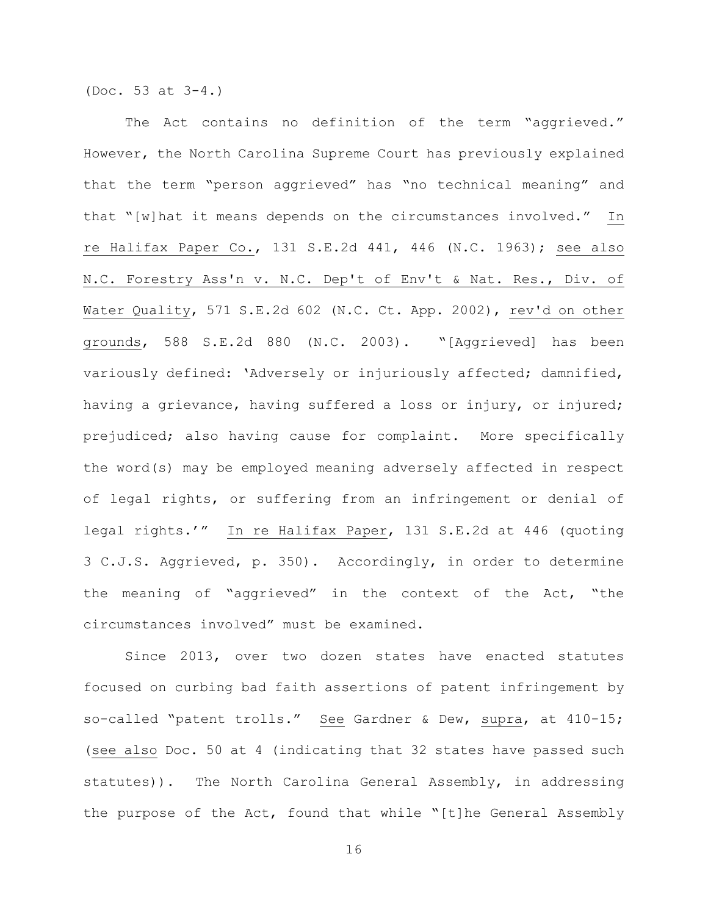(Doc. 53 at 3-4.)

The Act contains no definition of the term "aggrieved." However, the North Carolina Supreme Court has previously explained that the term "person aggrieved" has "no technical meaning" and that "[w]hat it means depends on the circumstances involved." In re Halifax Paper Co., 131 S.E.2d 441, 446 (N.C. 1963); see also N.C. Forestry Ass'n v. N.C. Dep't of Env't & Nat. Res., Div. of Water Quality, 571 S.E.2d 602 (N.C. Ct. App. 2002), rev'd on other grounds, 588 S.E.2d 880 (N.C. 2003). "[Aggrieved] has been variously defined: 'Adversely or injuriously affected; damnified, having a grievance, having suffered a loss or injury, or injured; prejudiced; also having cause for complaint. More specifically the word(s) may be employed meaning adversely affected in respect of legal rights, or suffering from an infringement or denial of legal rights.'" In re Halifax Paper, 131 S.E.2d at 446 (quoting 3 C.J.S. Aggrieved, p. 350). Accordingly, in order to determine the meaning of "aggrieved" in the context of the Act, "the circumstances involved" must be examined.

Since 2013, over two dozen states have enacted statutes focused on curbing bad faith assertions of patent infringement by so-called "patent trolls." See Gardner & Dew, supra, at 410-15; (see also Doc. 50 at 4 (indicating that 32 states have passed such statutes)). The North Carolina General Assembly, in addressing the purpose of the Act, found that while "[t]he General Assembly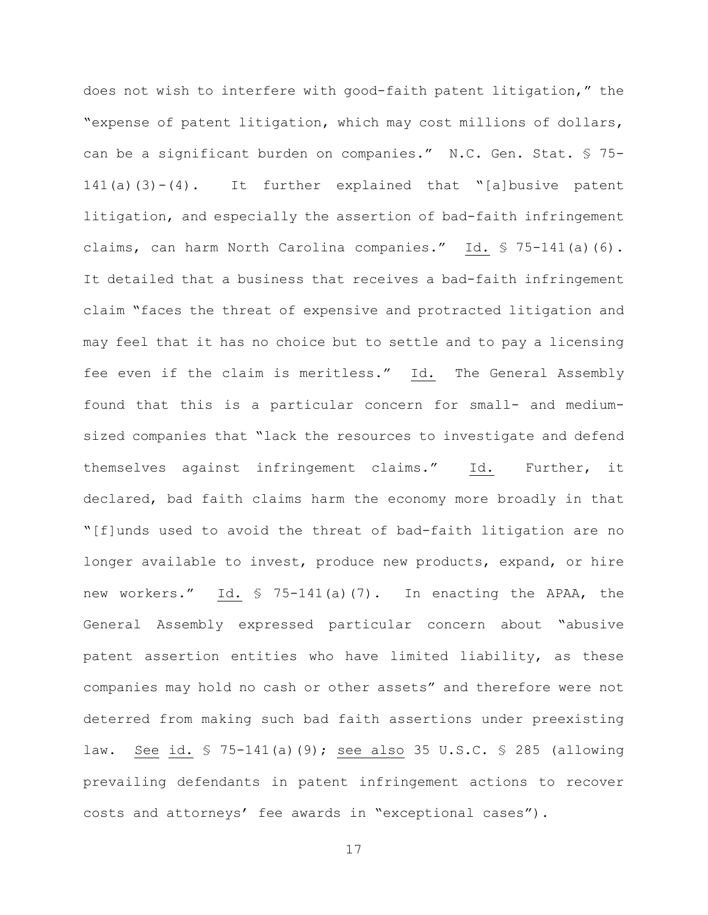does not wish to interfere with good-faith patent litigation," the "expense of patent litigation, which may cost millions of dollars, can be a significant burden on companies." N.C. Gen. Stat. § 75- 141(a)(3)-(4). It further explained that "[a]busive patent litigation, and especially the assertion of bad-faith infringement claims, can harm North Carolina companies." Id. § 75-141(a)(6). It detailed that a business that receives a bad-faith infringement claim "faces the threat of expensive and protracted litigation and may feel that it has no choice but to settle and to pay a licensing fee even if the claim is meritless." Id. The General Assembly found that this is a particular concern for small- and mediumsized companies that "lack the resources to investigate and defend themselves against infringement claims." Id. Further, it declared, bad faith claims harm the economy more broadly in that "[f]unds used to avoid the threat of bad-faith litigation are no longer available to invest, produce new products, expand, or hire new workers." Id. § 75-141(a)(7). In enacting the APAA, the General Assembly expressed particular concern about "abusive patent assertion entities who have limited liability, as these companies may hold no cash or other assets" and therefore were not deterred from making such bad faith assertions under preexisting law. See id. § 75-141(a)(9); see also 35 U.S.C. § 285 (allowing prevailing defendants in patent infringement actions to recover costs and attorneys' fee awards in "exceptional cases").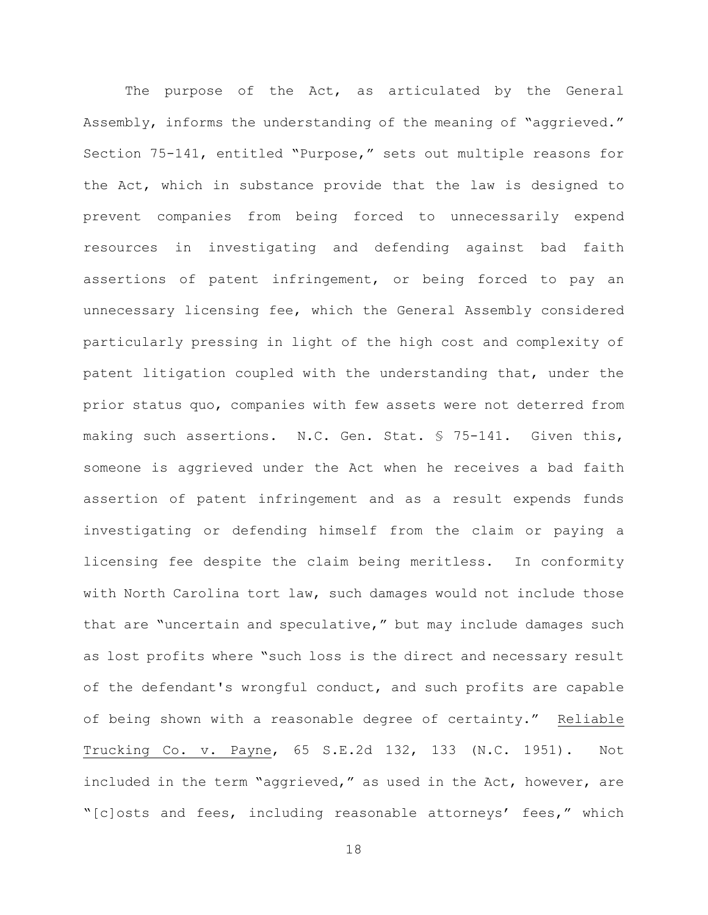The purpose of the Act, as articulated by the General Assembly, informs the understanding of the meaning of "aggrieved." Section 75-141, entitled "Purpose," sets out multiple reasons for the Act, which in substance provide that the law is designed to prevent companies from being forced to unnecessarily expend resources in investigating and defending against bad faith assertions of patent infringement, or being forced to pay an unnecessary licensing fee, which the General Assembly considered particularly pressing in light of the high cost and complexity of patent litigation coupled with the understanding that, under the prior status quo, companies with few assets were not deterred from making such assertions. N.C. Gen. Stat. § 75-141. Given this, someone is aggrieved under the Act when he receives a bad faith assertion of patent infringement and as a result expends funds investigating or defending himself from the claim or paying a licensing fee despite the claim being meritless. In conformity with North Carolina tort law, such damages would not include those that are "uncertain and speculative," but may include damages such as lost profits where "such loss is the direct and necessary result of the defendant's wrongful conduct, and such profits are capable of being shown with a reasonable degree of certainty." Reliable Trucking Co. v. Payne, 65 S.E.2d 132, 133 (N.C. 1951). Not included in the term "aggrieved," as used in the Act, however, are "[c]osts and fees, including reasonable attorneys' fees," which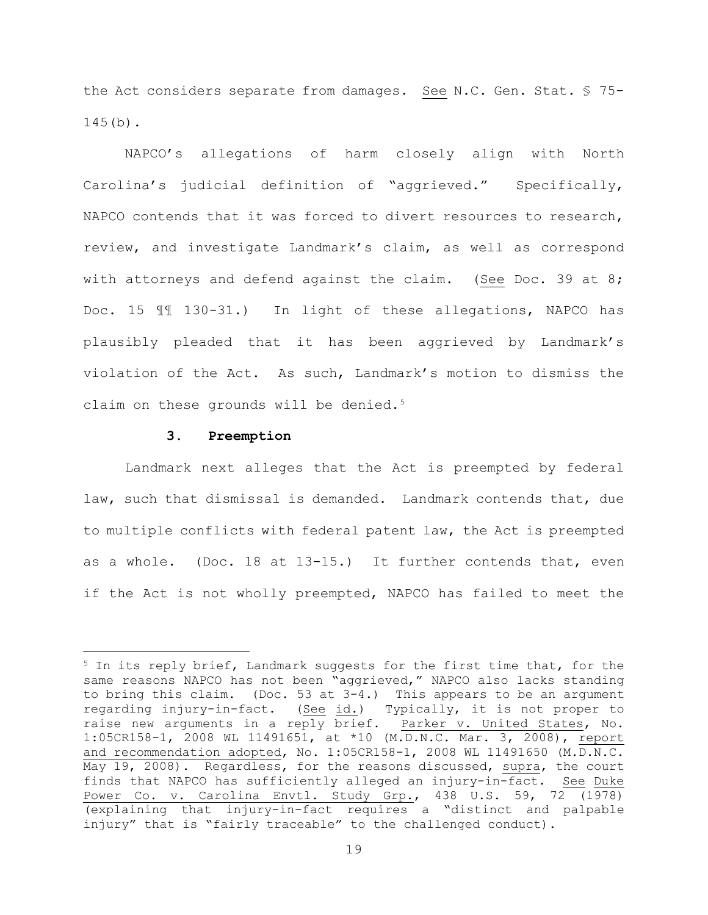the Act considers separate from damages. See N.C. Gen. Stat. § 75- 145(b).

NAPCO's allegations of harm closely align with North Carolina's judicial definition of "aggrieved." Specifically, NAPCO contends that it was forced to divert resources to research, review, and investigate Landmark's claim, as well as correspond with attorneys and defend against the claim. (See Doc. 39 at 8; Doc. 15 ¶¶ 130-31.) In light of these allegations, NAPCO has plausibly pleaded that it has been aggrieved by Landmark's violation of the Act. As such, Landmark's motion to dismiss the claim on these grounds will be denied.<sup>5</sup>

#### **3. Preemption**

Landmark next alleges that the Act is preempted by federal law, such that dismissal is demanded. Landmark contends that, due to multiple conflicts with federal patent law, the Act is preempted as a whole. (Doc. 18 at 13-15.) It further contends that, even if the Act is not wholly preempted, NAPCO has failed to meet the

 $5$  In its reply brief, Landmark suggests for the first time that, for the same reasons NAPCO has not been "aggrieved," NAPCO also lacks standing to bring this claim. (Doc. 53 at 3-4.) This appears to be an argument regarding injury-in-fact. (See id.) Typically, it is not proper to raise new arguments in a reply brief. Parker v. United States, No. 1:05CR158-1, 2008 WL 11491651, at \*10 (M.D.N.C. Mar. 3, 2008), report and recommendation adopted, No. 1:05CR158-1, 2008 WL 11491650 (M.D.N.C. May 19, 2008). Regardless, for the reasons discussed, supra, the court finds that NAPCO has sufficiently alleged an injury-in-fact. See Duke Power Co. v. Carolina Envtl. Study Grp., 438 U.S. 59, 72 (1978) (explaining that injury-in-fact requires a "distinct and palpable injury" that is "fairly traceable" to the challenged conduct).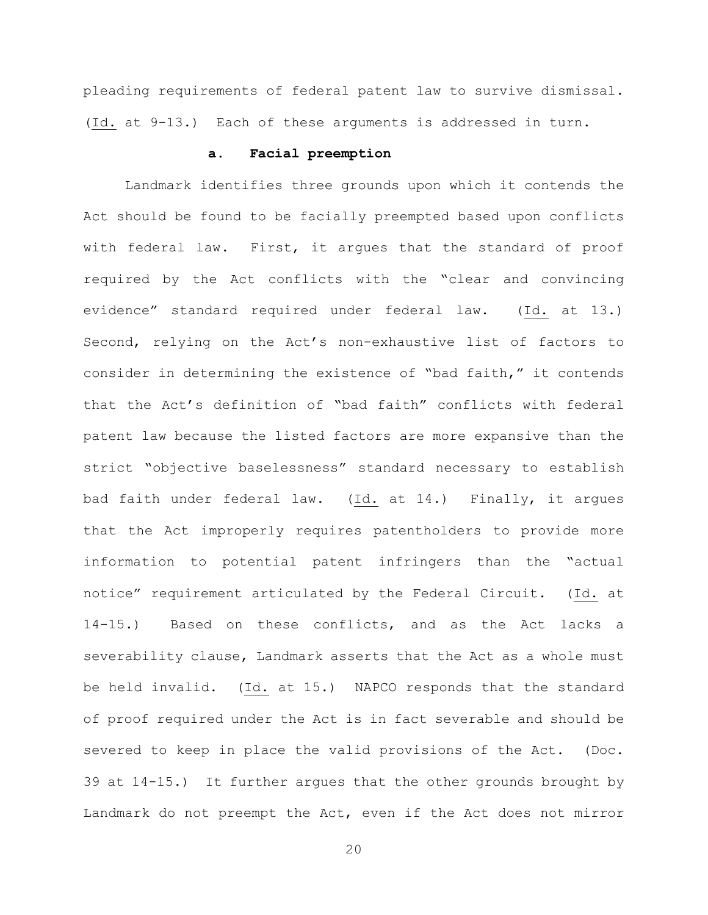pleading requirements of federal patent law to survive dismissal. (Id. at 9-13.) Each of these arguments is addressed in turn.

### **a. Facial preemption**

Landmark identifies three grounds upon which it contends the Act should be found to be facially preempted based upon conflicts with federal law. First, it argues that the standard of proof required by the Act conflicts with the "clear and convincing evidence" standard required under federal law. (Id. at 13.) Second, relying on the Act's non-exhaustive list of factors to consider in determining the existence of "bad faith," it contends that the Act's definition of "bad faith" conflicts with federal patent law because the listed factors are more expansive than the strict "objective baselessness" standard necessary to establish bad faith under federal law. (Id. at 14.) Finally, it argues that the Act improperly requires patentholders to provide more information to potential patent infringers than the "actual notice" requirement articulated by the Federal Circuit. (Id. at 14-15.) Based on these conflicts, and as the Act lacks a severability clause, Landmark asserts that the Act as a whole must be held invalid. (Id. at 15.) NAPCO responds that the standard of proof required under the Act is in fact severable and should be severed to keep in place the valid provisions of the Act. (Doc. 39 at 14-15.) It further argues that the other grounds brought by Landmark do not preempt the Act, even if the Act does not mirror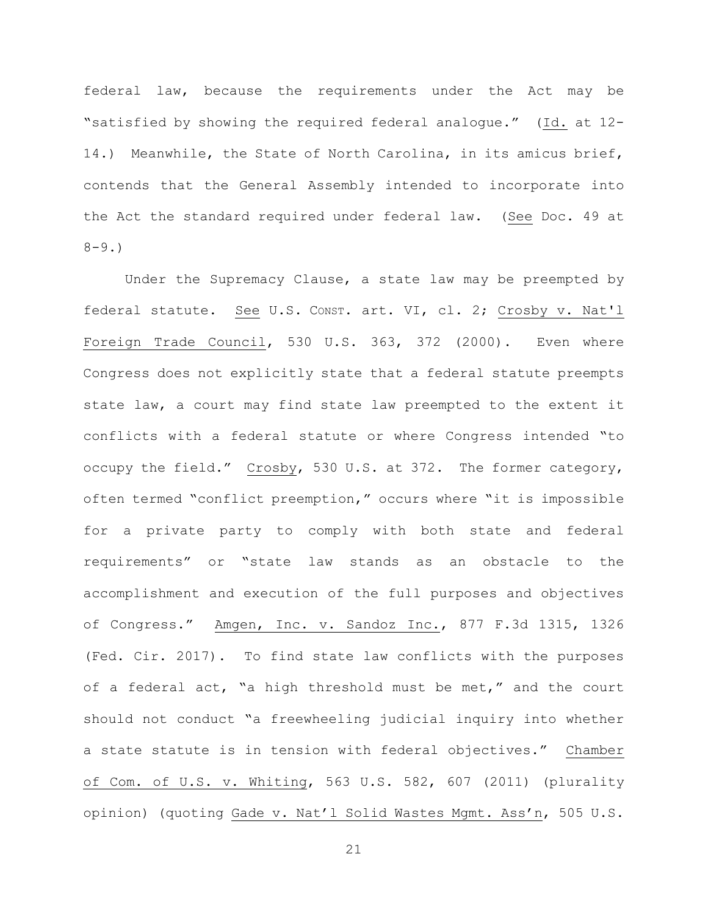federal law, because the requirements under the Act may be "satisfied by showing the required federal analogue." (Id. at 12- 14.) Meanwhile, the State of North Carolina, in its amicus brief, contends that the General Assembly intended to incorporate into the Act the standard required under federal law. (See Doc. 49 at  $8 - 9.$ 

Under the Supremacy Clause, a state law may be preempted by federal statute. See U.S. CONST. art. VI, cl. 2; Crosby v. Nat'l Foreign Trade Council, 530 U.S. 363, 372 (2000). Even where Congress does not explicitly state that a federal statute preempts state law, a court may find state law preempted to the extent it conflicts with a federal statute or where Congress intended "to occupy the field." Crosby, 530 U.S. at 372. The former category, often termed "conflict preemption," occurs where "it is impossible for a private party to comply with both state and federal requirements" or "state law stands as an obstacle to the accomplishment and execution of the full purposes and objectives of Congress." Amgen, Inc. v. Sandoz Inc., 877 F.3d 1315, 1326 (Fed. Cir. 2017). To find state law conflicts with the purposes of a federal act, "a high threshold must be met," and the court should not conduct "a freewheeling judicial inquiry into whether a state statute is in tension with federal objectives." Chamber of Com. of U.S. v. Whiting, 563 U.S. 582, 607 (2011) (plurality opinion) (quoting Gade v. Nat'l Solid Wastes Mgmt. Ass'n, 505 U.S.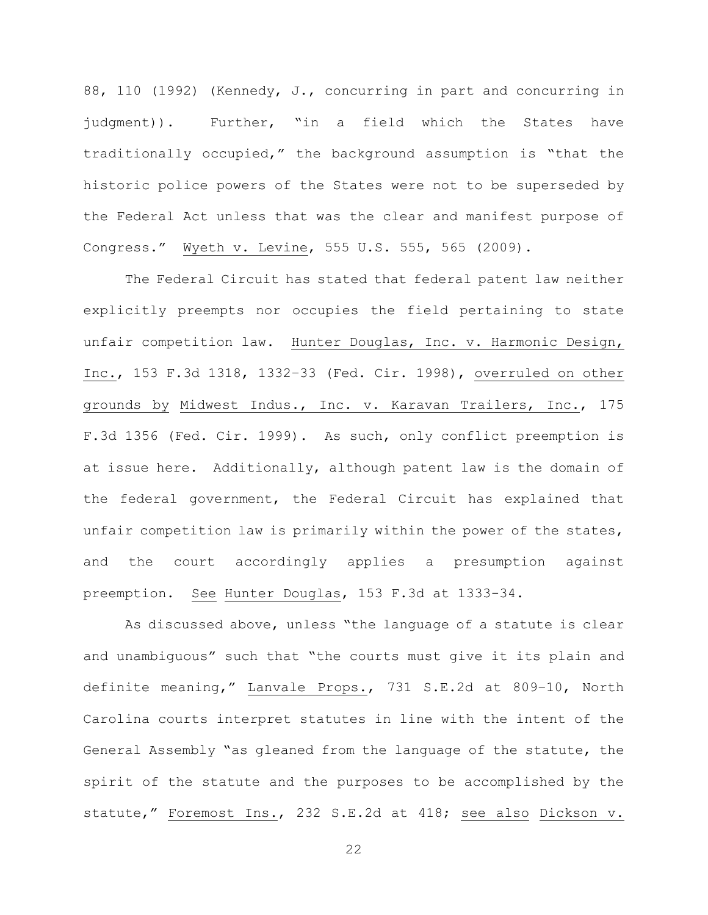88, 110 (1992) (Kennedy, J., concurring in part and concurring in judgment)). Further, "in a field which the States have traditionally occupied," the background assumption is "that the historic police powers of the States were not to be superseded by the Federal Act unless that was the clear and manifest purpose of Congress." Wyeth v. Levine, 555 U.S. 555, 565 (2009).

The Federal Circuit has stated that federal patent law neither explicitly preempts nor occupies the field pertaining to state unfair competition law. Hunter Douglas, Inc. v. Harmonic Design, Inc., 153 F.3d 1318, 1332–33 (Fed. Cir. 1998), overruled on other grounds by Midwest Indus., Inc. v. Karavan Trailers, Inc., 175 F.3d 1356 (Fed. Cir. 1999). As such, only conflict preemption is at issue here. Additionally, although patent law is the domain of the federal government, the Federal Circuit has explained that unfair competition law is primarily within the power of the states, and the court accordingly applies a presumption against preemption. See Hunter Douglas, 153 F.3d at 1333-34.

As discussed above, unless "the language of a statute is clear and unambiguous" such that "the courts must give it its plain and definite meaning," Lanvale Props., 731 S.E.2d at 809–10, North Carolina courts interpret statutes in line with the intent of the General Assembly "as gleaned from the language of the statute, the spirit of the statute and the purposes to be accomplished by the statute," Foremost Ins., 232 S.E.2d at 418; see also Dickson v.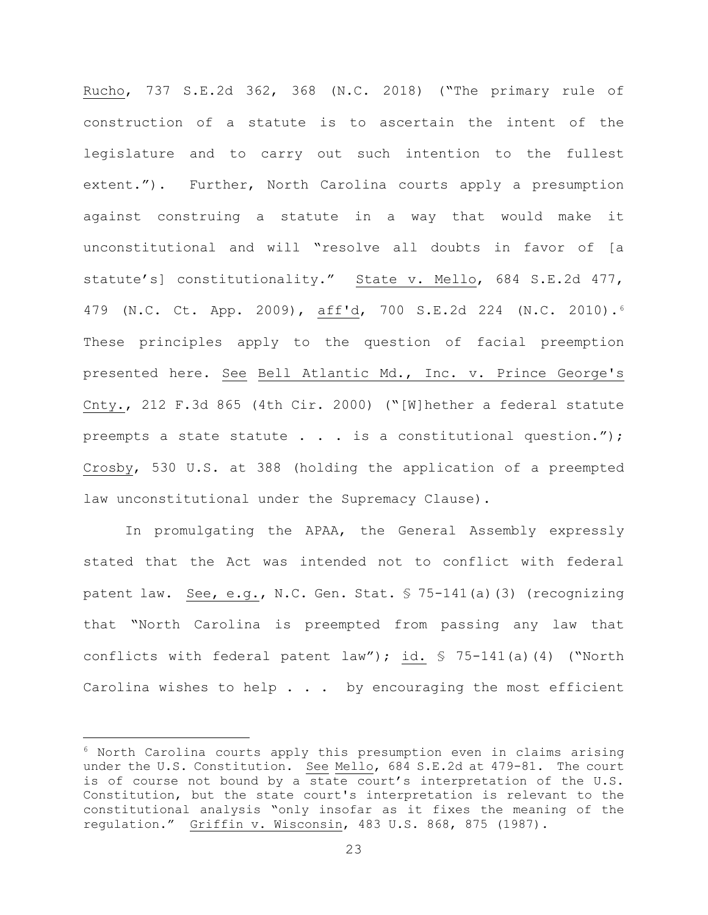Rucho, 737 S.E.2d 362, 368 (N.C. 2018) ("The primary rule of construction of a statute is to ascertain the intent of the legislature and to carry out such intention to the fullest extent."). Further, North Carolina courts apply a presumption against construing a statute in a way that would make it unconstitutional and will "resolve all doubts in favor of [a statute's] constitutionality." State v. Mello, 684 S.E.2d 477, 479 (N.C. Ct. App. 2009), aff'd, 700 S.E.2d 224 (N.C. 2010).6 These principles apply to the question of facial preemption presented here. See Bell Atlantic Md., Inc. v. Prince George's Cnty., 212 F.3d 865 (4th Cir. 2000) ("[W]hether a federal statute preempts a state statute . . . is a constitutional question."); Crosby, 530 U.S. at 388 (holding the application of a preempted law unconstitutional under the Supremacy Clause).

In promulgating the APAA, the General Assembly expressly stated that the Act was intended not to conflict with federal patent law. See, e.g., N.C. Gen. Stat. § 75-141(a)(3) (recognizing that "North Carolina is preempted from passing any law that conflicts with federal patent law"); id. § 75-141(a)(4) ("North Carolina wishes to help . . . by encouraging the most efficient

 $6$  North Carolina courts apply this presumption even in claims arising under the U.S. Constitution. See Mello, 684 S.E.2d at 479-81. The court is of course not bound by a state court's interpretation of the U.S. Constitution, but the state court's interpretation is relevant to the constitutional analysis "only insofar as it fixes the meaning of the regulation." Griffin v. Wisconsin, 483 U.S. 868, 875 (1987).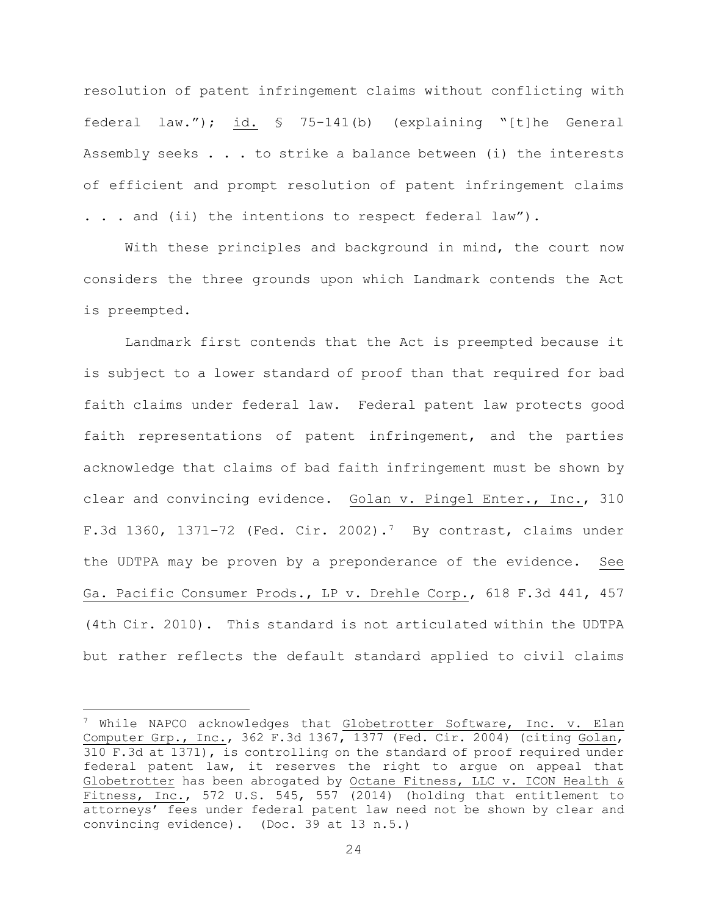resolution of patent infringement claims without conflicting with federal law."); id. § 75-141(b) (explaining "[t]he General Assembly seeks . . . to strike a balance between (i) the interests of efficient and prompt resolution of patent infringement claims . . . and (ii) the intentions to respect federal law").

With these principles and background in mind, the court now considers the three grounds upon which Landmark contends the Act is preempted.

Landmark first contends that the Act is preempted because it is subject to a lower standard of proof than that required for bad faith claims under federal law. Federal patent law protects good faith representations of patent infringement, and the parties acknowledge that claims of bad faith infringement must be shown by clear and convincing evidence. Golan v. Pingel Enter., Inc., 310 F.3d 1360, 1371–72 (Fed. Cir. 2002).7 By contrast, claims under the UDTPA may be proven by a preponderance of the evidence. See Ga. Pacific Consumer Prods., LP v. Drehle Corp., 618 F.3d 441, 457 (4th Cir. 2010). This standard is not articulated within the UDTPA but rather reflects the default standard applied to civil claims

 $7$  While NAPCO acknowledges that Globetrotter Software, Inc. v. Elan Computer Grp., Inc., 362 F.3d 1367, 1377 (Fed. Cir. 2004) (citing Golan, 310 F.3d at 1371), is controlling on the standard of proof required under federal patent law, it reserves the right to argue on appeal that Globetrotter has been abrogated by Octane Fitness, LLC v. ICON Health & Fitness, Inc., 572 U.S. 545, 557  $\overline{(2014)}$  (holding that entitlement to attorneys' fees under federal patent law need not be shown by clear and convincing evidence). (Doc. 39 at 13 n.5.)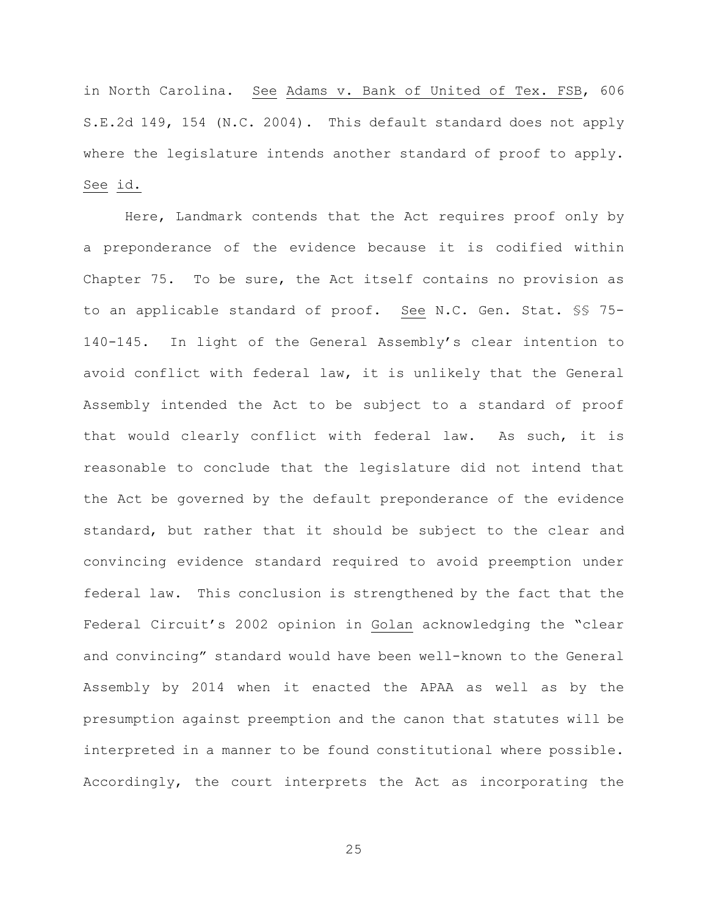in North Carolina. See Adams v. Bank of United of Tex. FSB, 606 S.E.2d 149, 154 (N.C. 2004). This default standard does not apply where the legislature intends another standard of proof to apply. See id.

Here, Landmark contends that the Act requires proof only by a preponderance of the evidence because it is codified within Chapter 75. To be sure, the Act itself contains no provision as to an applicable standard of proof. See N.C. Gen. Stat. §§ 75- 140-145. In light of the General Assembly's clear intention to avoid conflict with federal law, it is unlikely that the General Assembly intended the Act to be subject to a standard of proof that would clearly conflict with federal law. As such, it is reasonable to conclude that the legislature did not intend that the Act be governed by the default preponderance of the evidence standard, but rather that it should be subject to the clear and convincing evidence standard required to avoid preemption under federal law. This conclusion is strengthened by the fact that the Federal Circuit's 2002 opinion in Golan acknowledging the "clear and convincing" standard would have been well-known to the General Assembly by 2014 when it enacted the APAA as well as by the presumption against preemption and the canon that statutes will be interpreted in a manner to be found constitutional where possible. Accordingly, the court interprets the Act as incorporating the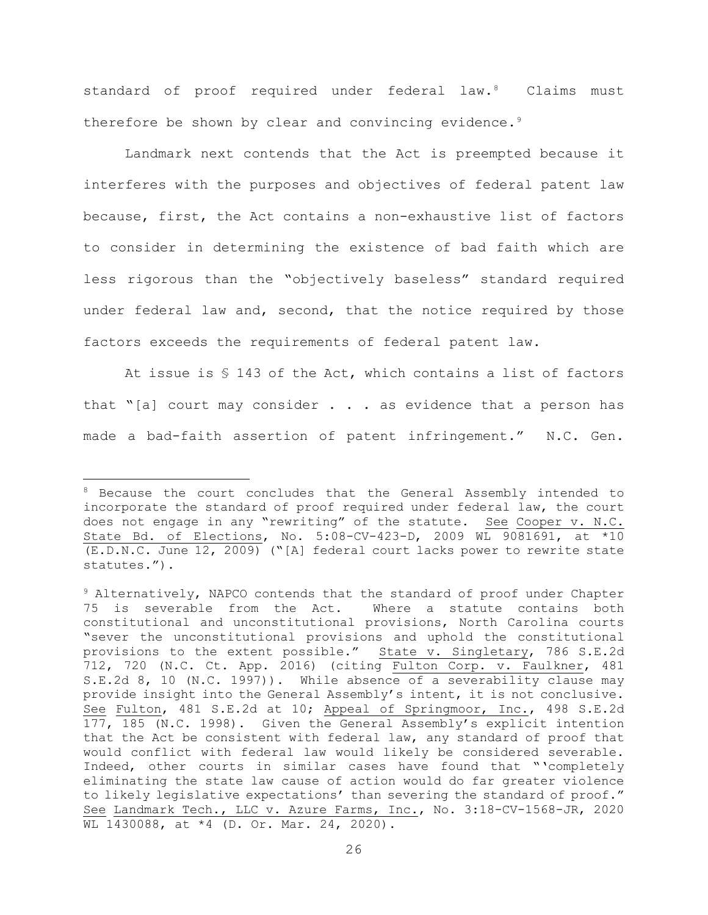standard of proof required under federal law.<sup>8</sup> Claims must therefore be shown by clear and convincing evidence.<sup>9</sup>

Landmark next contends that the Act is preempted because it interferes with the purposes and objectives of federal patent law because, first, the Act contains a non-exhaustive list of factors to consider in determining the existence of bad faith which are less rigorous than the "objectively baseless" standard required under federal law and, second, that the notice required by those factors exceeds the requirements of federal patent law.

At issue is § 143 of the Act, which contains a list of factors that "[a] court may consider  $\ldots$  as evidence that a person has made a bad-faith assertion of patent infringement." N.C. Gen.

<sup>8</sup> Because the court concludes that the General Assembly intended to incorporate the standard of proof required under federal law, the court does not engage in any "rewriting" of the statute. See Cooper v. N.C. State Bd. of Elections, No. 5:08-CV-423-D, 2009 WL 9081691, at \*10 (E.D.N.C. June 12, 2009) ("[A] federal court lacks power to rewrite state statutes.").

<sup>&</sup>lt;sup>9</sup> Alternatively, NAPCO contends that the standard of proof under Chapter<br>75 is severable from the Act. Where a statute contains both 75 is severable from the Act. constitutional and unconstitutional provisions, North Carolina courts "sever the unconstitutional provisions and uphold the constitutional provisions to the extent possible." State v. Singletary, 786 S.E.2d 712, 720 (N.C. Ct. App. 2016) (citing Fulton Corp. v. Faulkner, 481 S.E.2d 8, 10 (N.C. 1997)). While absence of a severability clause may provide insight into the General Assembly's intent, it is not conclusive. See Fulton, 481 S.E.2d at 10; Appeal of Springmoor, Inc., 498 S.E.2d 177, 185 (N.C. 1998). Given the General Assembly's explicit intention that the Act be consistent with federal law, any standard of proof that would conflict with federal law would likely be considered severable. Indeed, other courts in similar cases have found that "'completely eliminating the state law cause of action would do far greater violence to likely legislative expectations' than severing the standard of proof." See Landmark Tech., LLC v. Azure Farms, Inc., No. 3:18-CV-1568-JR, 2020 WL 1430088, at \*4 (D. Or. Mar. 24, 2020).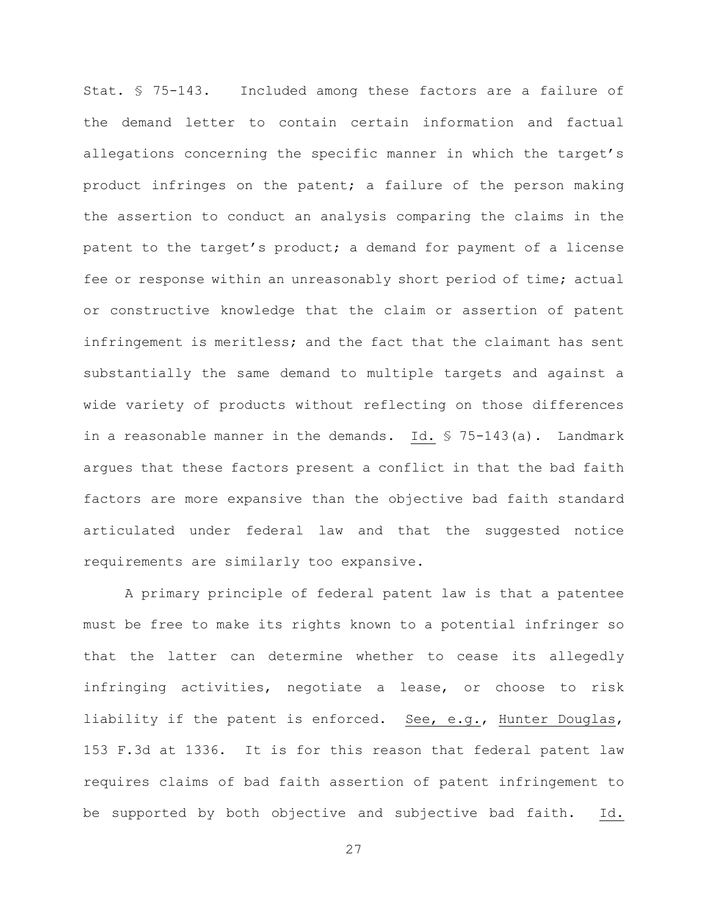Stat. § 75-143. Included among these factors are a failure of the demand letter to contain certain information and factual allegations concerning the specific manner in which the target's product infringes on the patent; a failure of the person making the assertion to conduct an analysis comparing the claims in the patent to the target's product; a demand for payment of a license fee or response within an unreasonably short period of time; actual or constructive knowledge that the claim or assertion of patent infringement is meritless; and the fact that the claimant has sent substantially the same demand to multiple targets and against a wide variety of products without reflecting on those differences in a reasonable manner in the demands. Id. § 75-143(a). Landmark argues that these factors present a conflict in that the bad faith factors are more expansive than the objective bad faith standard articulated under federal law and that the suggested notice requirements are similarly too expansive.

A primary principle of federal patent law is that a patentee must be free to make its rights known to a potential infringer so that the latter can determine whether to cease its allegedly infringing activities, negotiate a lease, or choose to risk liability if the patent is enforced. See, e.g., Hunter Douglas, 153 F.3d at 1336. It is for this reason that federal patent law requires claims of bad faith assertion of patent infringement to be supported by both objective and subjective bad faith. Id.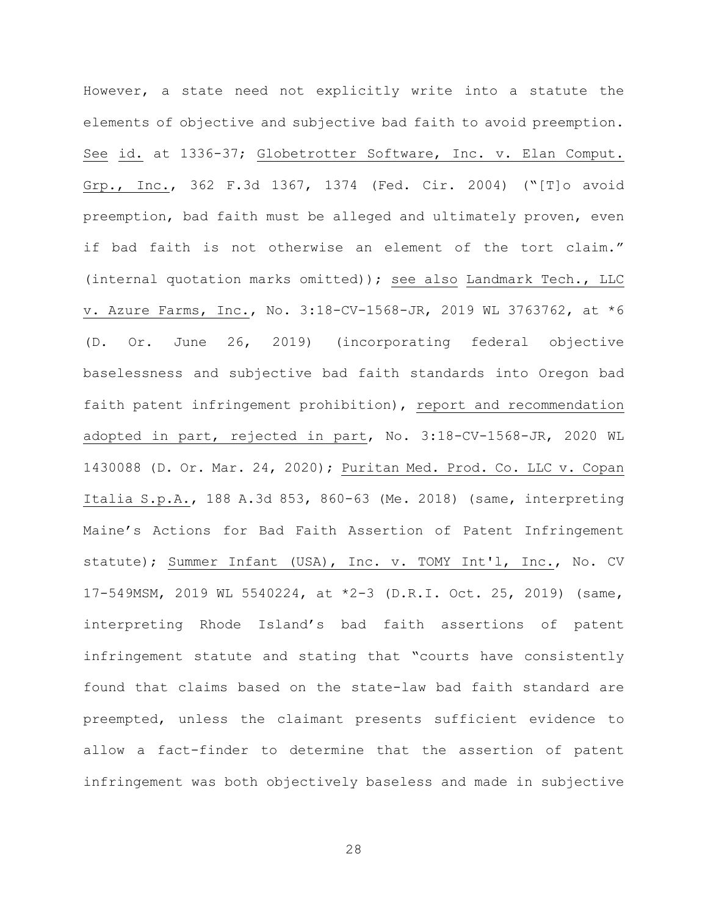However, a state need not explicitly write into a statute the elements of objective and subjective bad faith to avoid preemption. See id. at 1336-37; Globetrotter Software, Inc. v. Elan Comput. Grp., Inc., 362 F.3d 1367, 1374 (Fed. Cir. 2004) ("[T]o avoid preemption, bad faith must be alleged and ultimately proven, even if bad faith is not otherwise an element of the tort claim." (internal quotation marks omitted)); see also Landmark Tech., LLC v. Azure Farms, Inc., No. 3:18-CV-1568-JR, 2019 WL 3763762, at \*6 (D. Or. June 26, 2019) (incorporating federal objective baselessness and subjective bad faith standards into Oregon bad faith patent infringement prohibition), report and recommendation adopted in part, rejected in part, No. 3:18-CV-1568-JR, 2020 WL 1430088 (D. Or. Mar. 24, 2020); Puritan Med. Prod. Co. LLC v. Copan Italia S.p.A., 188 A.3d 853, 860-63 (Me. 2018) (same, interpreting Maine's Actions for Bad Faith Assertion of Patent Infringement statute); Summer Infant (USA), Inc. v. TOMY Int'l, Inc., No. CV 17-549MSM, 2019 WL 5540224, at \*2-3 (D.R.I. Oct. 25, 2019) (same, interpreting Rhode Island's bad faith assertions of patent infringement statute and stating that "courts have consistently found that claims based on the state-law bad faith standard are preempted, unless the claimant presents sufficient evidence to allow a fact-finder to determine that the assertion of patent infringement was both objectively baseless and made in subjective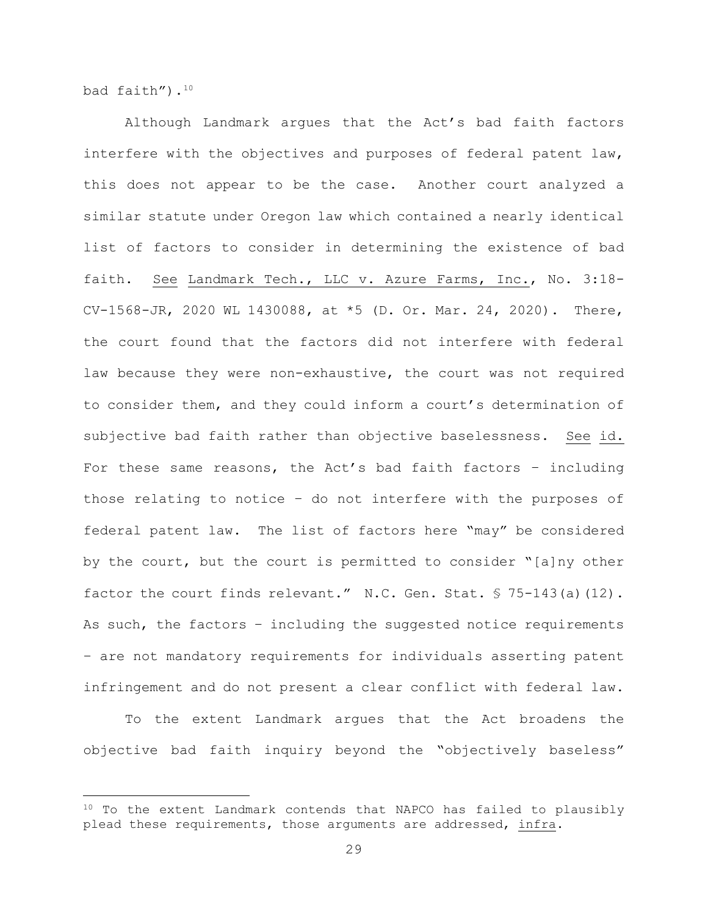bad faith").10

Although Landmark argues that the Act's bad faith factors interfere with the objectives and purposes of federal patent law, this does not appear to be the case. Another court analyzed a similar statute under Oregon law which contained a nearly identical list of factors to consider in determining the existence of bad faith. See Landmark Tech., LLC v. Azure Farms, Inc., No. 3:18- CV-1568-JR, 2020 WL 1430088, at \*5 (D. Or. Mar. 24, 2020). There, the court found that the factors did not interfere with federal law because they were non-exhaustive, the court was not required to consider them, and they could inform a court's determination of subjective bad faith rather than objective baselessness. See id. For these same reasons, the Act's bad faith factors – including those relating to notice – do not interfere with the purposes of federal patent law. The list of factors here "may" be considered by the court, but the court is permitted to consider "[a]ny other factor the court finds relevant." N.C. Gen. Stat. § 75-143(a)(12). As such, the factors – including the suggested notice requirements – are not mandatory requirements for individuals asserting patent infringement and do not present a clear conflict with federal law.

To the extent Landmark argues that the Act broadens the objective bad faith inquiry beyond the "objectively baseless"

 $10$  To the extent Landmark contends that NAPCO has failed to plausibly plead these requirements, those arguments are addressed, infra.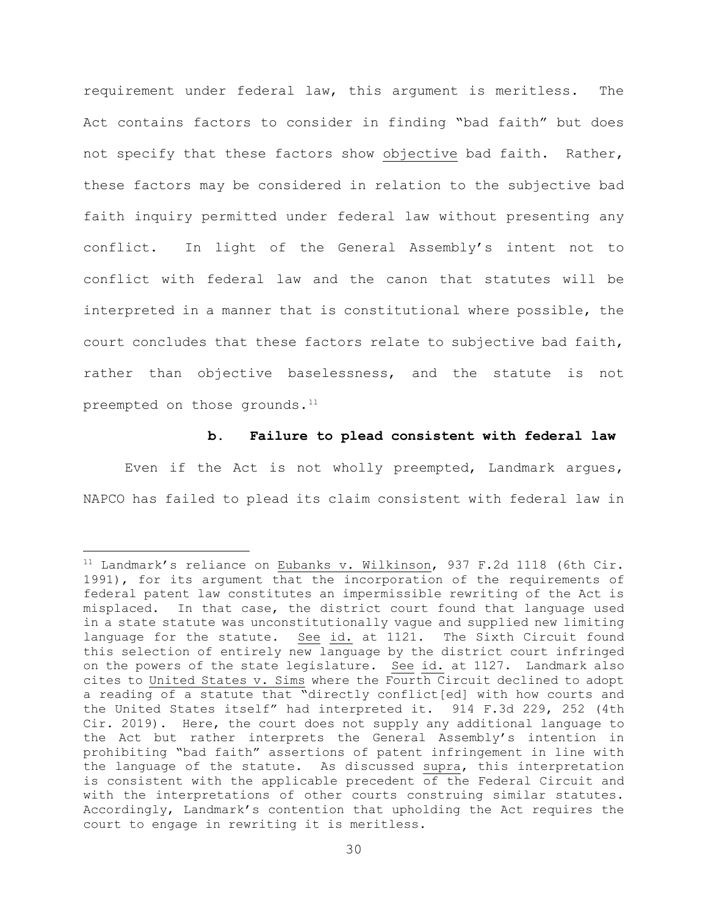requirement under federal law, this argument is meritless. The Act contains factors to consider in finding "bad faith" but does not specify that these factors show objective bad faith. Rather, these factors may be considered in relation to the subjective bad faith inquiry permitted under federal law without presenting any conflict. In light of the General Assembly's intent not to conflict with federal law and the canon that statutes will be interpreted in a manner that is constitutional where possible, the court concludes that these factors relate to subjective bad faith, rather than objective baselessness, and the statute is not preempted on those grounds.<sup>11</sup>

#### **b. Failure to plead consistent with federal law**

Even if the Act is not wholly preempted, Landmark argues, NAPCO has failed to plead its claim consistent with federal law in

<sup>11</sup> Landmark's reliance on Eubanks v. Wilkinson, 937 F.2d 1118 (6th Cir. 1991), for its argument that the incorporation of the requirements of federal patent law constitutes an impermissible rewriting of the Act is misplaced. In that case, the district court found that language used in a state statute was unconstitutionally vague and supplied new limiting language for the statute. See id. at 1121. The Sixth Circuit found this selection of entirely new language by the district court infringed on the powers of the state legislature. See id. at 1127. Landmark also cites to United States v. Sims where the Fourth Circuit declined to adopt a reading of a statute that "directly conflict[ed] with how courts and the United States itself" had interpreted it. 914 F.3d 229, 252 (4th Cir. 2019). Here, the court does not supply any additional language to the Act but rather interprets the General Assembly's intention in prohibiting "bad faith" assertions of patent infringement in line with the language of the statute. As discussed supra, this interpretation is consistent with the applicable precedent of the Federal Circuit and with the interpretations of other courts construing similar statutes. Accordingly, Landmark's contention that upholding the Act requires the court to engage in rewriting it is meritless.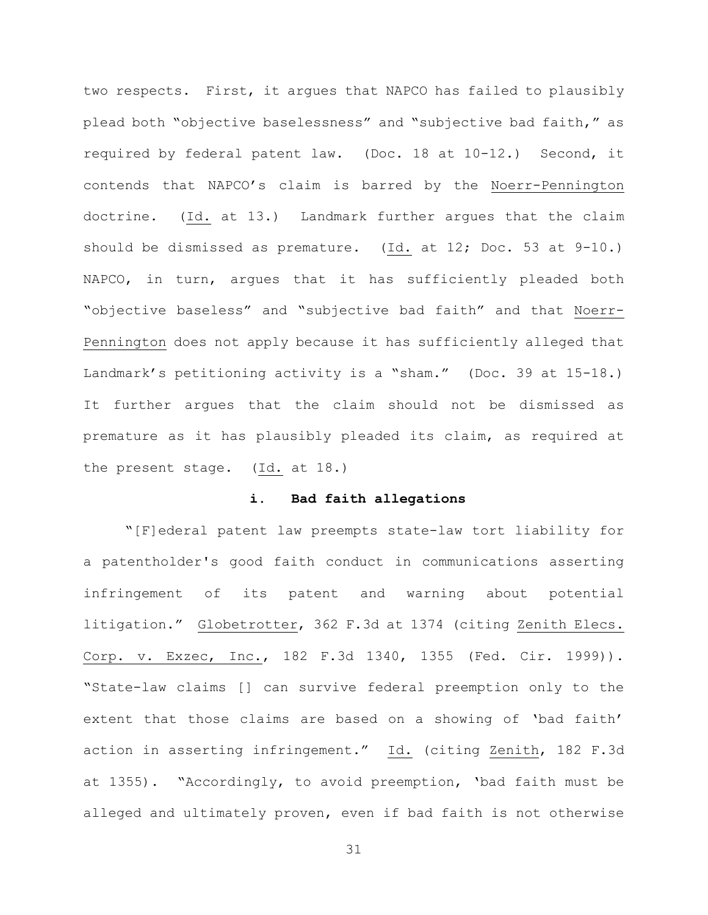two respects. First, it argues that NAPCO has failed to plausibly plead both "objective baselessness" and "subjective bad faith," as required by federal patent law. (Doc. 18 at 10-12.) Second, it contends that NAPCO's claim is barred by the Noerr-Pennington doctrine. (Id. at 13.) Landmark further argues that the claim should be dismissed as premature. (Id. at 12; Doc. 53 at 9-10.) NAPCO, in turn, argues that it has sufficiently pleaded both "objective baseless" and "subjective bad faith" and that Noerr-Pennington does not apply because it has sufficiently alleged that Landmark's petitioning activity is a "sham." (Doc. 39 at 15-18.) It further argues that the claim should not be dismissed as premature as it has plausibly pleaded its claim, as required at the present stage. (Id. at 18.)

### **i. Bad faith allegations**

"[F]ederal patent law preempts state-law tort liability for a patentholder's good faith conduct in communications asserting infringement of its patent and warning about potential litigation." Globetrotter, 362 F.3d at 1374 (citing Zenith Elecs. Corp. v. Exzec, Inc., 182 F.3d 1340, 1355 (Fed. Cir. 1999)). "State-law claims [] can survive federal preemption only to the extent that those claims are based on a showing of 'bad faith' action in asserting infringement." Id. (citing Zenith, 182 F.3d at 1355). "Accordingly, to avoid preemption, 'bad faith must be alleged and ultimately proven, even if bad faith is not otherwise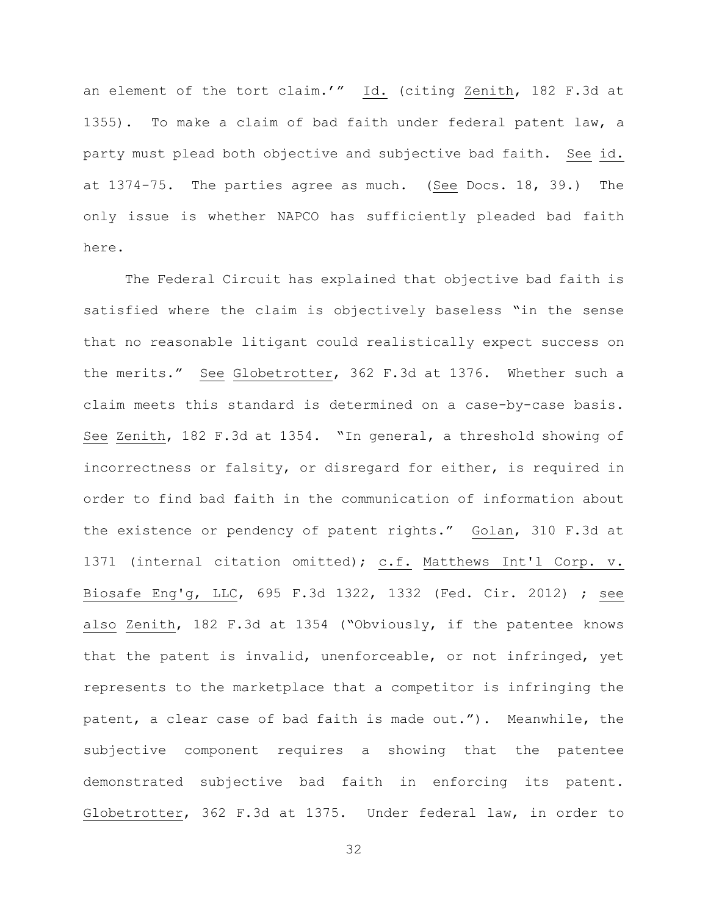an element of the tort claim.'" Id. (citing Zenith, 182 F.3d at 1355). To make a claim of bad faith under federal patent law, a party must plead both objective and subjective bad faith. See id. at 1374-75. The parties agree as much. (See Docs. 18, 39.) The only issue is whether NAPCO has sufficiently pleaded bad faith here.

The Federal Circuit has explained that objective bad faith is satisfied where the claim is objectively baseless "in the sense that no reasonable litigant could realistically expect success on the merits." See Globetrotter, 362 F.3d at 1376. Whether such a claim meets this standard is determined on a case-by-case basis. See Zenith, 182 F.3d at 1354. "In general, a threshold showing of incorrectness or falsity, or disregard for either, is required in order to find bad faith in the communication of information about the existence or pendency of patent rights." Golan, 310 F.3d at 1371 (internal citation omitted); c.f. Matthews Int'l Corp. v. Biosafe Eng'g, LLC, 695 F.3d 1322, 1332 (Fed. Cir. 2012) ; see also Zenith, 182 F.3d at 1354 ("Obviously, if the patentee knows that the patent is invalid, unenforceable, or not infringed, yet represents to the marketplace that a competitor is infringing the patent, a clear case of bad faith is made out."). Meanwhile, the subjective component requires a showing that the patentee demonstrated subjective bad faith in enforcing its patent. Globetrotter, 362 F.3d at 1375. Under federal law, in order to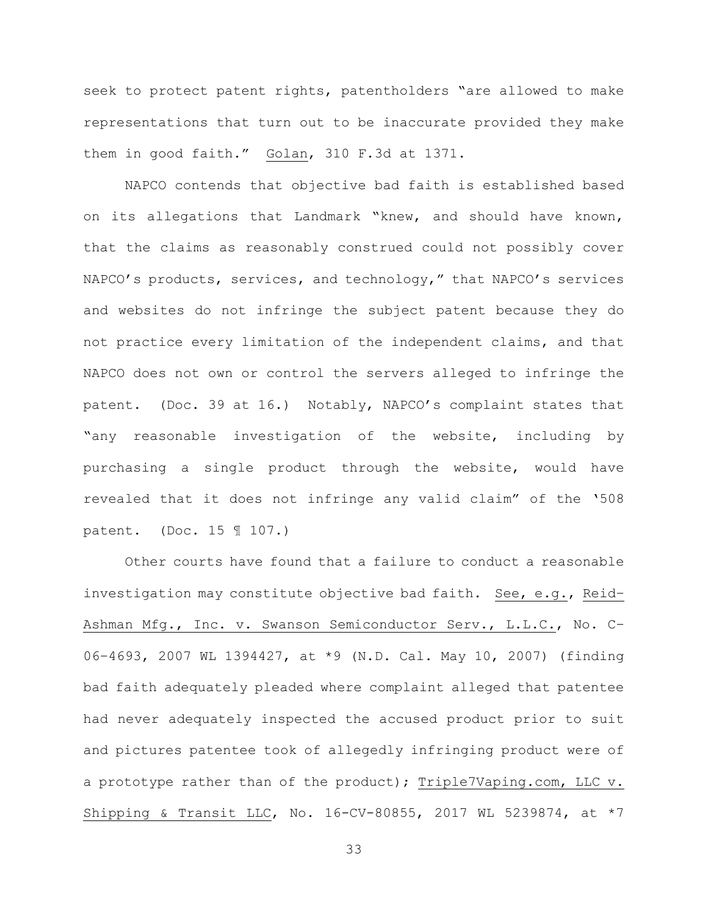seek to protect patent rights, patentholders "are allowed to make representations that turn out to be inaccurate provided they make them in good faith." Golan, 310 F.3d at 1371.

NAPCO contends that objective bad faith is established based on its allegations that Landmark "knew, and should have known, that the claims as reasonably construed could not possibly cover NAPCO's products, services, and technology," that NAPCO's services and websites do not infringe the subject patent because they do not practice every limitation of the independent claims, and that NAPCO does not own or control the servers alleged to infringe the patent. (Doc. 39 at 16.) Notably, NAPCO's complaint states that "any reasonable investigation of the website, including by purchasing a single product through the website, would have revealed that it does not infringe any valid claim" of the '508 patent. (Doc. 15 ¶ 107.)

Other courts have found that a failure to conduct a reasonable investigation may constitute objective bad faith. See, e.g., Reid– Ashman Mfg., Inc. v. Swanson Semiconductor Serv., L.L.C., No. C– 06–4693, 2007 WL 1394427, at \*9 (N.D. Cal. May 10, 2007) (finding bad faith adequately pleaded where complaint alleged that patentee had never adequately inspected the accused product prior to suit and pictures patentee took of allegedly infringing product were of a prototype rather than of the product); Triple7Vaping.com, LLC v. Shipping & Transit LLC, No. 16-CV-80855, 2017 WL 5239874, at \*7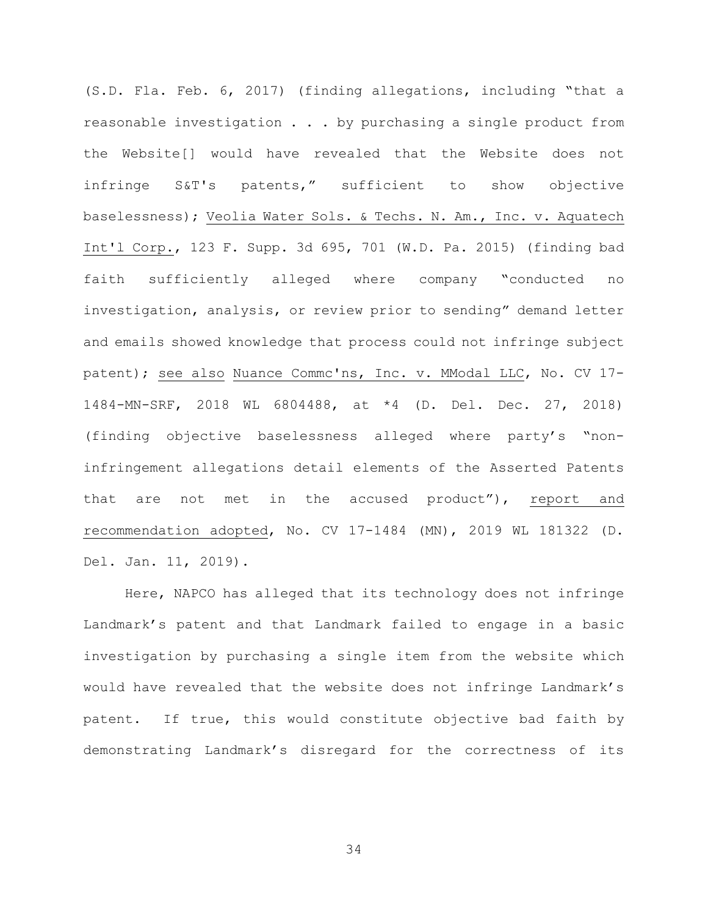(S.D. Fla. Feb. 6, 2017) (finding allegations, including "that a reasonable investigation . . . by purchasing a single product from the Website[] would have revealed that the Website does not infringe S&T's patents," sufficient to show objective baselessness); Veolia Water Sols. & Techs. N. Am., Inc. v. Aquatech Int'l Corp., 123 F. Supp. 3d 695, 701 (W.D. Pa. 2015) (finding bad faith sufficiently alleged where company "conducted no investigation, analysis, or review prior to sending" demand letter and emails showed knowledge that process could not infringe subject patent); see also Nuance Commc'ns, Inc. v. MModal LLC, No. CV 17- 1484-MN-SRF, 2018 WL 6804488, at \*4 (D. Del. Dec. 27, 2018) (finding objective baselessness alleged where party's "noninfringement allegations detail elements of the Asserted Patents that are not met in the accused product"), report and recommendation adopted, No. CV 17-1484 (MN), 2019 WL 181322 (D. Del. Jan. 11, 2019).

Here, NAPCO has alleged that its technology does not infringe Landmark's patent and that Landmark failed to engage in a basic investigation by purchasing a single item from the website which would have revealed that the website does not infringe Landmark's patent. If true, this would constitute objective bad faith by demonstrating Landmark's disregard for the correctness of its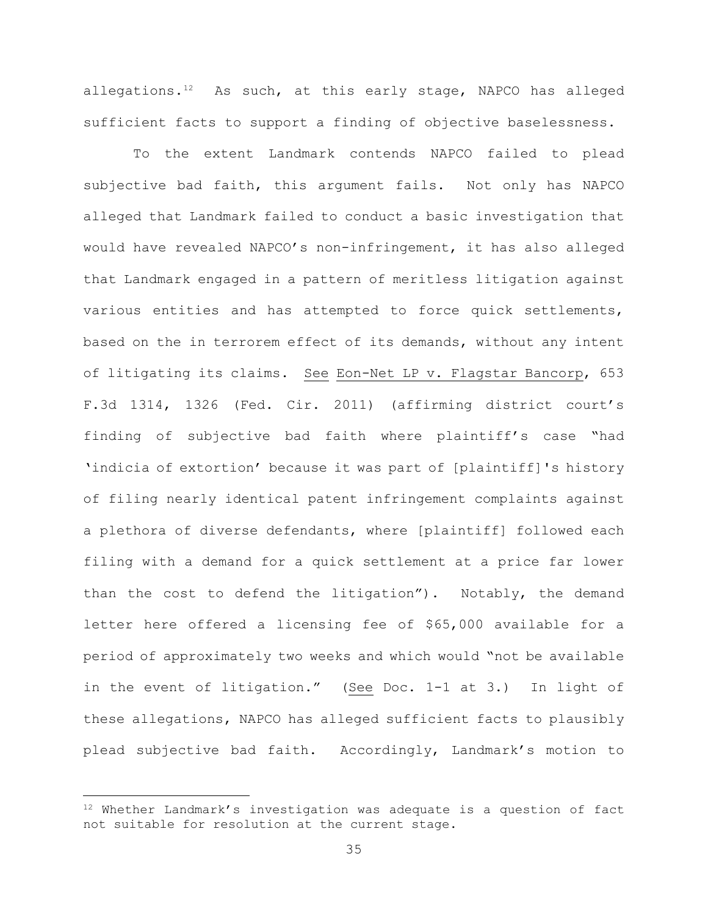allegations. $12$  As such, at this early stage, NAPCO has alleged sufficient facts to support a finding of objective baselessness.

To the extent Landmark contends NAPCO failed to plead subjective bad faith, this argument fails. Not only has NAPCO alleged that Landmark failed to conduct a basic investigation that would have revealed NAPCO's non-infringement, it has also alleged that Landmark engaged in a pattern of meritless litigation against various entities and has attempted to force quick settlements, based on the in terrorem effect of its demands, without any intent of litigating its claims. See Eon-Net LP v. Flagstar Bancorp, 653 F.3d 1314, 1326 (Fed. Cir. 2011) (affirming district court's finding of subjective bad faith where plaintiff's case "had 'indicia of extortion' because it was part of [plaintiff]'s history of filing nearly identical patent infringement complaints against a plethora of diverse defendants, where [plaintiff] followed each filing with a demand for a quick settlement at a price far lower than the cost to defend the litigation"). Notably, the demand letter here offered a licensing fee of \$65,000 available for a period of approximately two weeks and which would "not be available in the event of litigation." (See Doc. 1-1 at 3.) In light of these allegations, NAPCO has alleged sufficient facts to plausibly plead subjective bad faith. Accordingly, Landmark's motion to

 $12$  Whether Landmark's investigation was adequate is a question of fact not suitable for resolution at the current stage.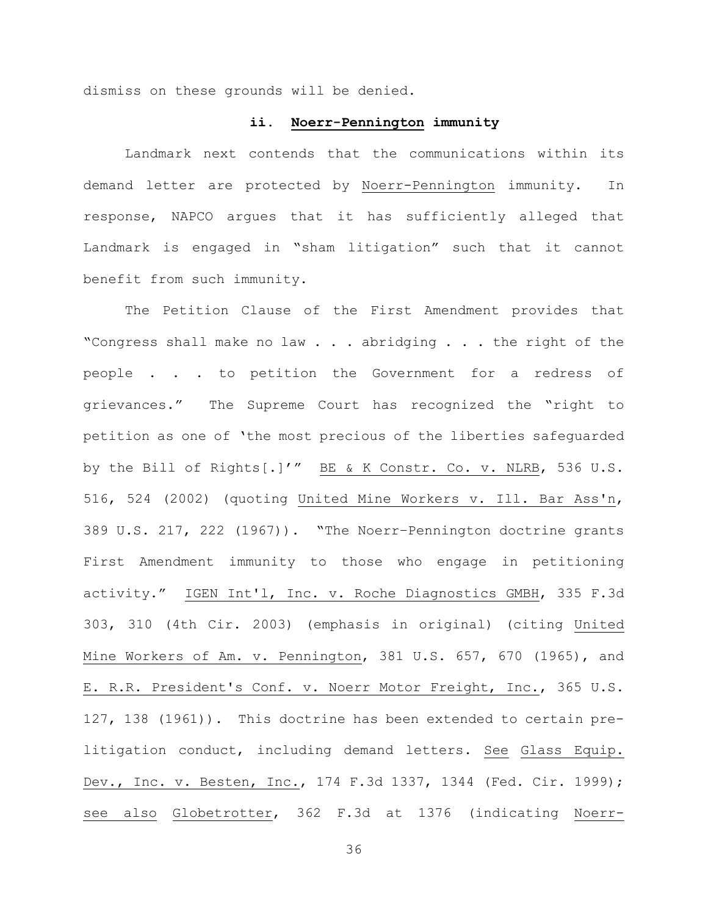dismiss on these grounds will be denied.

### **ii. Noerr-Pennington immunity**

Landmark next contends that the communications within its demand letter are protected by Noerr-Pennington immunity. In response, NAPCO argues that it has sufficiently alleged that Landmark is engaged in "sham litigation" such that it cannot benefit from such immunity.

The Petition Clause of the First Amendment provides that "Congress shall make no law . . . abridging . . . the right of the people . . . to petition the Government for a redress of grievances." The Supreme Court has recognized the "right to petition as one of 'the most precious of the liberties safeguarded by the Bill of Rights[.]'" BE & K Constr. Co. v. NLRB, 536 U.S. 516, 524 (2002) (quoting United Mine Workers v. Ill. Bar Ass'n, 389 U.S. 217, 222 (1967)). "The Noerr–Pennington doctrine grants First Amendment immunity to those who engage in petitioning activity." IGEN Int'l, Inc. v. Roche Diagnostics GMBH, 335 F.3d 303, 310 (4th Cir. 2003) (emphasis in original) (citing United Mine Workers of Am. v. Pennington, 381 U.S. 657, 670 (1965), and E. R.R. President's Conf. v. Noerr Motor Freight, Inc., 365 U.S. 127, 138 (1961)). This doctrine has been extended to certain prelitigation conduct, including demand letters. See Glass Equip. Dev., Inc. v. Besten, Inc., 174 F.3d 1337, 1344 (Fed. Cir. 1999); see also Globetrotter, 362 F.3d at 1376 (indicating Noerr-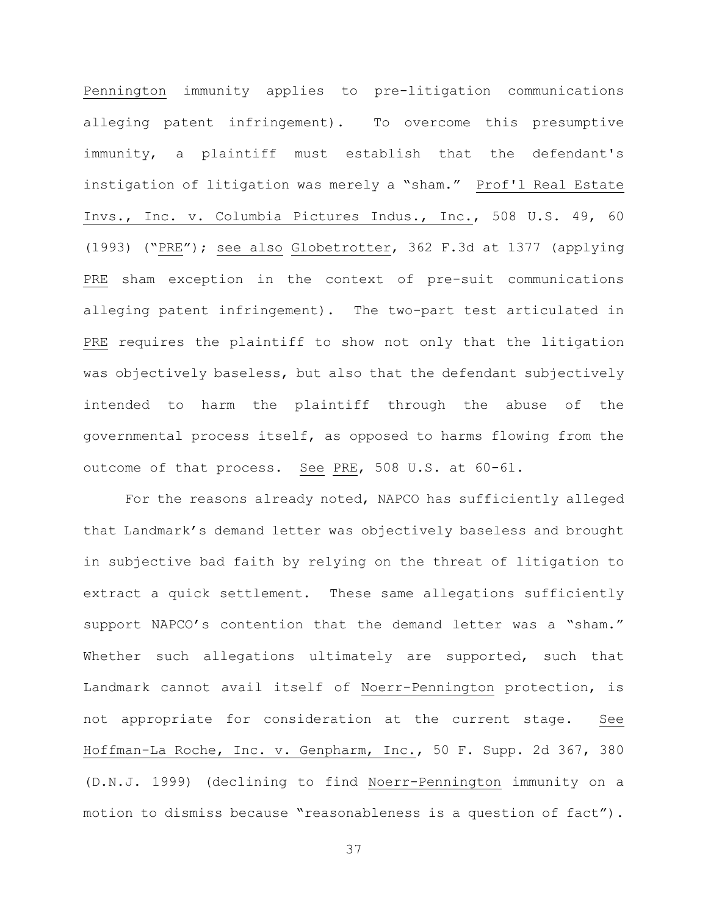Pennington immunity applies to pre-litigation communications alleging patent infringement). To overcome this presumptive immunity, a plaintiff must establish that the defendant's instigation of litigation was merely a "sham." Prof'l Real Estate Invs., Inc. v. Columbia Pictures Indus., Inc., 508 U.S. 49, 60 (1993) ("PRE"); see also Globetrotter, 362 F.3d at 1377 (applying PRE sham exception in the context of pre-suit communications alleging patent infringement). The two-part test articulated in PRE requires the plaintiff to show not only that the litigation was objectively baseless, but also that the defendant subjectively intended to harm the plaintiff through the abuse of the governmental process itself, as opposed to harms flowing from the outcome of that process. See PRE, 508 U.S. at 60-61.

For the reasons already noted, NAPCO has sufficiently alleged that Landmark's demand letter was objectively baseless and brought in subjective bad faith by relying on the threat of litigation to extract a quick settlement. These same allegations sufficiently support NAPCO's contention that the demand letter was a "sham." Whether such allegations ultimately are supported, such that Landmark cannot avail itself of Noerr-Pennington protection, is not appropriate for consideration at the current stage. See Hoffman-La Roche, Inc. v. Genpharm, Inc., 50 F. Supp. 2d 367, 380 (D.N.J. 1999) (declining to find Noerr-Pennington immunity on a motion to dismiss because "reasonableness is a question of fact").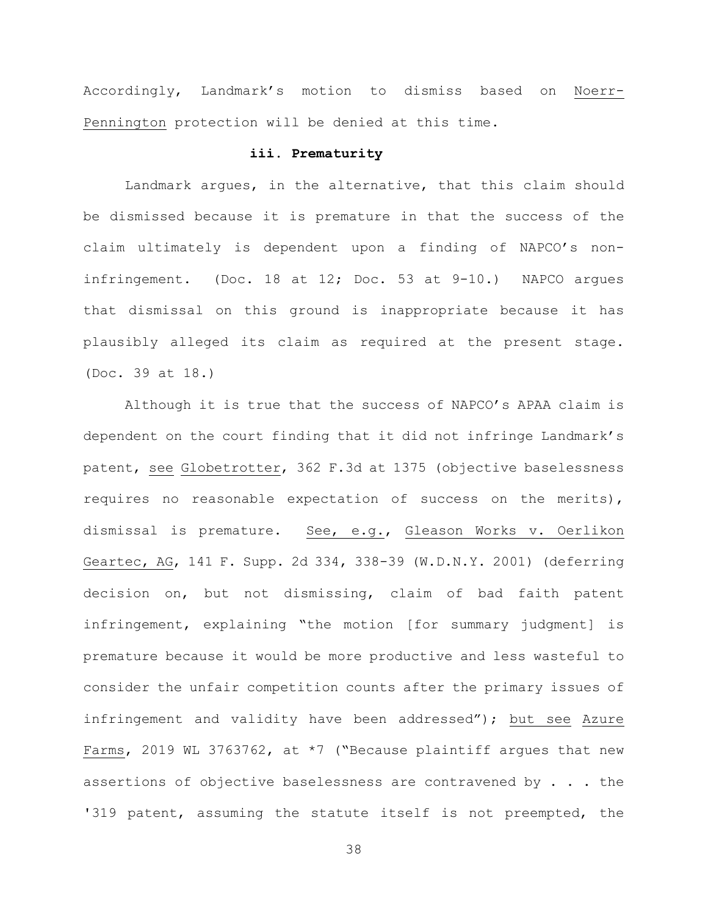Accordingly, Landmark's motion to dismiss based on Noerr-Pennington protection will be denied at this time.

# **iii. Prematurity**

Landmark argues, in the alternative, that this claim should be dismissed because it is premature in that the success of the claim ultimately is dependent upon a finding of NAPCO's noninfringement. (Doc. 18 at 12; Doc. 53 at 9-10.) NAPCO argues that dismissal on this ground is inappropriate because it has plausibly alleged its claim as required at the present stage. (Doc. 39 at 18.)

Although it is true that the success of NAPCO's APAA claim is dependent on the court finding that it did not infringe Landmark's patent, see Globetrotter, 362 F.3d at 1375 (objective baselessness requires no reasonable expectation of success on the merits), dismissal is premature. See, e.g., Gleason Works v. Oerlikon Geartec, AG, 141 F. Supp. 2d 334, 338-39 (W.D.N.Y. 2001) (deferring decision on, but not dismissing, claim of bad faith patent infringement, explaining "the motion [for summary judgment] is premature because it would be more productive and less wasteful to consider the unfair competition counts after the primary issues of infringement and validity have been addressed"); but see Azure Farms, 2019 WL 3763762, at \*7 ("Because plaintiff argues that new assertions of objective baselessness are contravened by . . . the '319 patent, assuming the statute itself is not preempted, the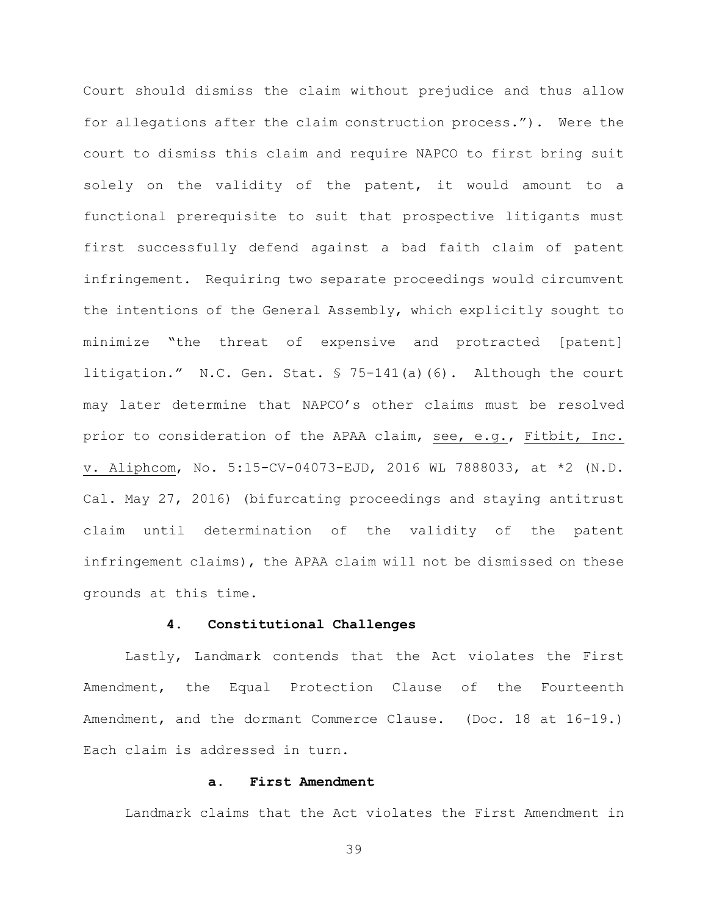Court should dismiss the claim without prejudice and thus allow for allegations after the claim construction process."). Were the court to dismiss this claim and require NAPCO to first bring suit solely on the validity of the patent, it would amount to a functional prerequisite to suit that prospective litigants must first successfully defend against a bad faith claim of patent infringement. Requiring two separate proceedings would circumvent the intentions of the General Assembly, which explicitly sought to minimize "the threat of expensive and protracted [patent] litigation." N.C. Gen. Stat. § 75-141(a)(6). Although the court may later determine that NAPCO's other claims must be resolved prior to consideration of the APAA claim, see, e.g., Fitbit, Inc. v. Aliphcom, No. 5:15-CV-04073-EJD, 2016 WL 7888033, at \*2 (N.D. Cal. May 27, 2016) (bifurcating proceedings and staying antitrust claim until determination of the validity of the patent infringement claims), the APAA claim will not be dismissed on these grounds at this time.

# **4. Constitutional Challenges**

Lastly, Landmark contends that the Act violates the First Amendment, the Equal Protection Clause of the Fourteenth Amendment, and the dormant Commerce Clause. (Doc. 18 at 16-19.) Each claim is addressed in turn.

# **a. First Amendment**

Landmark claims that the Act violates the First Amendment in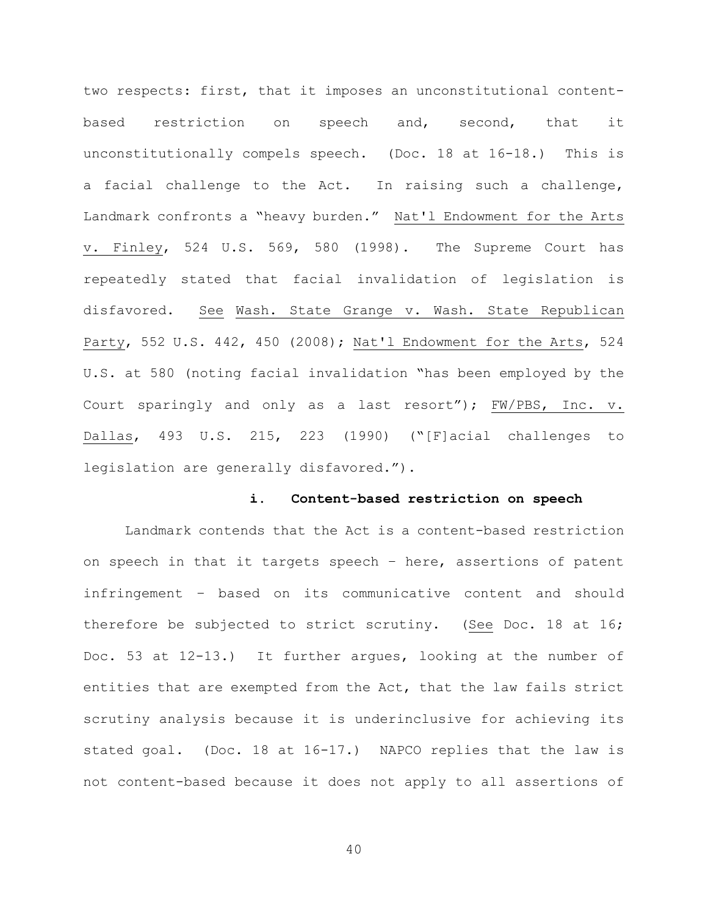two respects: first, that it imposes an unconstitutional contentbased restriction on speech and, second, that it unconstitutionally compels speech. (Doc. 18 at 16-18.) This is a facial challenge to the Act. In raising such a challenge, Landmark confronts a "heavy burden." Nat'l Endowment for the Arts v. Finley, 524 U.S. 569, 580 (1998). The Supreme Court has repeatedly stated that facial invalidation of legislation is disfavored. See Wash. State Grange v. Wash. State Republican Party, 552 U.S. 442, 450 (2008); Nat'l Endowment for the Arts, 524 U.S. at 580 (noting facial invalidation "has been employed by the Court sparingly and only as a last resort"); FW/PBS, Inc. v. Dallas, 493 U.S. 215, 223 (1990) ("[F]acial challenges to legislation are generally disfavored.").

### **i. Content-based restriction on speech**

Landmark contends that the Act is a content-based restriction on speech in that it targets speech – here, assertions of patent infringement – based on its communicative content and should therefore be subjected to strict scrutiny. (See Doc. 18 at 16; Doc. 53 at 12-13.) It further argues, looking at the number of entities that are exempted from the Act, that the law fails strict scrutiny analysis because it is underinclusive for achieving its stated goal. (Doc. 18 at 16-17.) NAPCO replies that the law is not content-based because it does not apply to all assertions of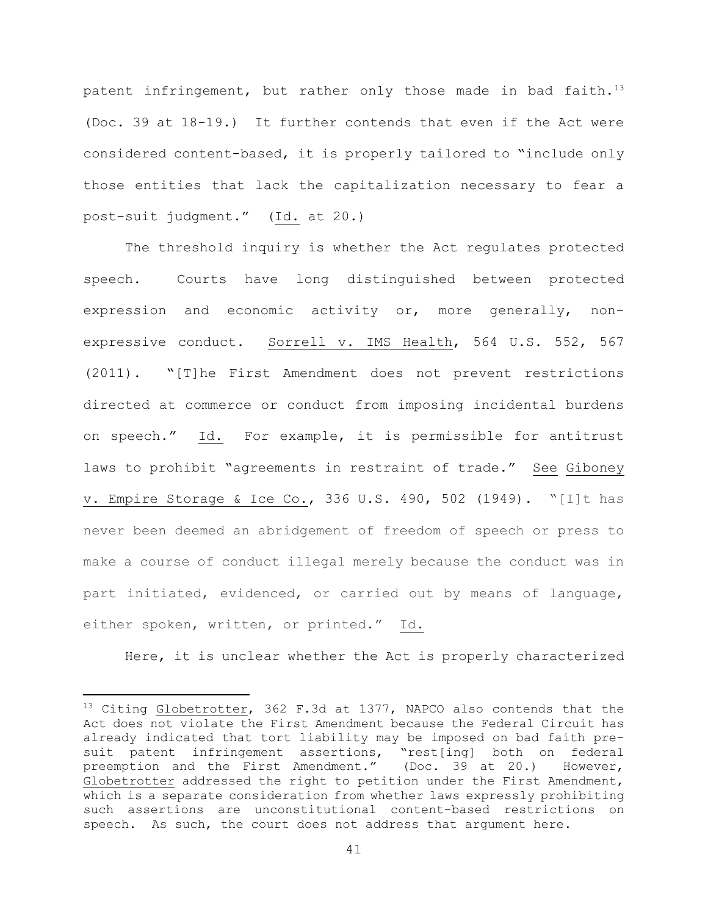patent infringement, but rather only those made in bad faith.<sup>13</sup> (Doc. 39 at 18-19.) It further contends that even if the Act were considered content-based, it is properly tailored to "include only those entities that lack the capitalization necessary to fear a post-suit judgment." (Id. at 20.)

The threshold inquiry is whether the Act regulates protected speech. Courts have long distinguished between protected expression and economic activity or, more generally, nonexpressive conduct. Sorrell v. IMS Health, 564 U.S. 552, 567 (2011). "[T]he First Amendment does not prevent restrictions directed at commerce or conduct from imposing incidental burdens on speech." Id. For example, it is permissible for antitrust laws to prohibit "agreements in restraint of trade." See Giboney v. Empire Storage & Ice Co., 336 U.S. 490, 502 (1949). "[I]t has never been deemed an abridgement of freedom of speech or press to make a course of conduct illegal merely because the conduct was in part initiated, evidenced, or carried out by means of language, either spoken, written, or printed." Id.

Here, it is unclear whether the Act is properly characterized

<sup>&</sup>lt;sup>13</sup> Citing Globetrotter, 362 F.3d at 1377, NAPCO also contends that the Act does not violate the First Amendment because the Federal Circuit has already indicated that tort liability may be imposed on bad faith presuit patent infringement assertions, "rest[ing] both on federal<br>preemption and the First Amendment." (Doc. 39 at 20.) However, preemption and the First Amendment." (Doc. 39 at 20.) However, Globetrotter addressed the right to petition under the First Amendment, which is a separate consideration from whether laws expressly prohibiting such assertions are unconstitutional content-based restrictions on speech. As such, the court does not address that argument here.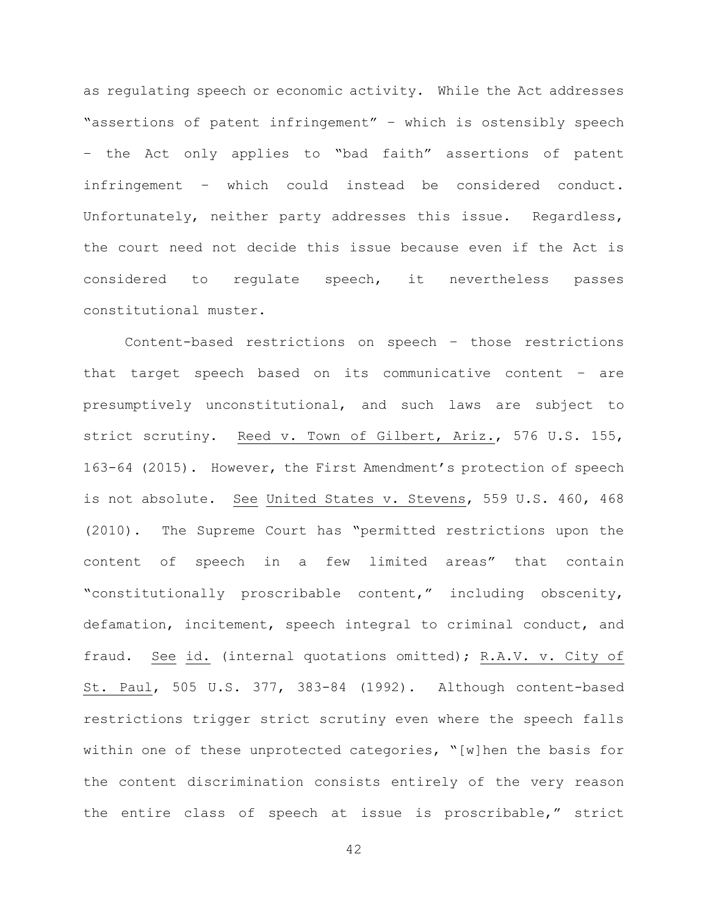as regulating speech or economic activity. While the Act addresses "assertions of patent infringement" – which is ostensibly speech – the Act only applies to "bad faith" assertions of patent infringement – which could instead be considered conduct. Unfortunately, neither party addresses this issue. Regardless, the court need not decide this issue because even if the Act is considered to regulate speech, it nevertheless passes constitutional muster.

Content-based restrictions on speech – those restrictions that target speech based on its communicative content – are presumptively unconstitutional, and such laws are subject to strict scrutiny. Reed v. Town of Gilbert, Ariz., 576 U.S. 155, 163-64 (2015). However, the First Amendment's protection of speech is not absolute. See United States v. Stevens, 559 U.S. 460, 468 (2010). The Supreme Court has "permitted restrictions upon the content of speech in a few limited areas" that contain "constitutionally proscribable content," including obscenity, defamation, incitement, speech integral to criminal conduct, and fraud. See id. (internal quotations omitted); R.A.V. v. City of St. Paul, 505 U.S. 377, 383-84 (1992). Although content-based restrictions trigger strict scrutiny even where the speech falls within one of these unprotected categories, "[w]hen the basis for the content discrimination consists entirely of the very reason the entire class of speech at issue is proscribable," strict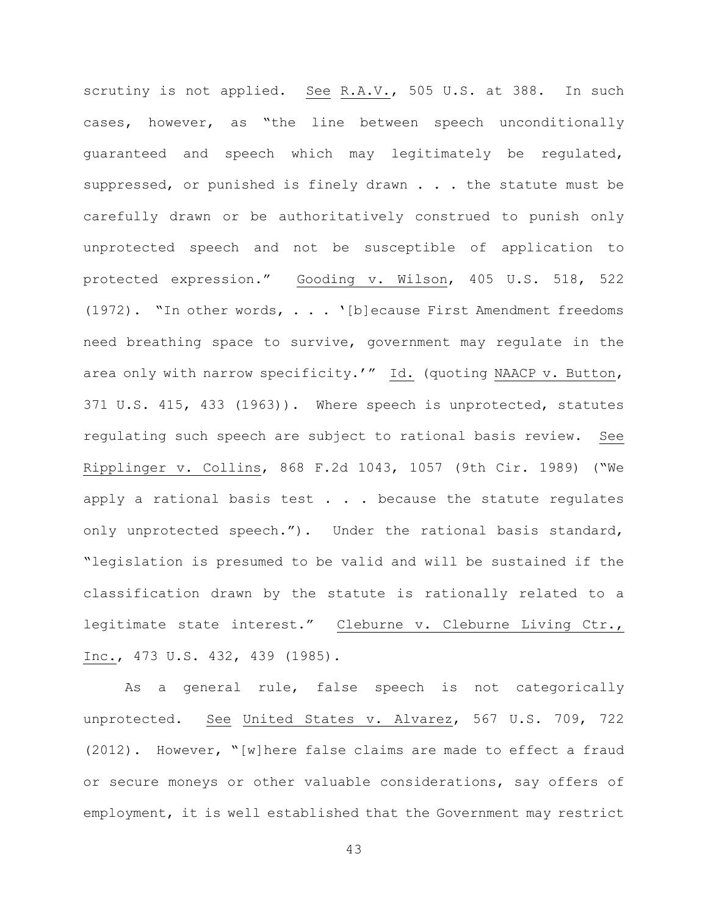scrutiny is not applied. See R.A.V., 505 U.S. at 388. In such cases, however, as "the line between speech unconditionally guaranteed and speech which may legitimately be regulated, suppressed, or punished is finely drawn . . . the statute must be carefully drawn or be authoritatively construed to punish only unprotected speech and not be susceptible of application to protected expression." Gooding v. Wilson, 405 U.S. 518, 522 (1972). "In other words, . . . '[b]ecause First Amendment freedoms need breathing space to survive, government may regulate in the area only with narrow specificity.'" Id. (quoting NAACP v. Button, 371 U.S. 415, 433 (1963)). Where speech is unprotected, statutes regulating such speech are subject to rational basis review. See Ripplinger v. Collins, 868 F.2d 1043, 1057 (9th Cir. 1989) ("We apply a rational basis test  $\ldots$  because the statute regulates only unprotected speech."). Under the rational basis standard, "legislation is presumed to be valid and will be sustained if the classification drawn by the statute is rationally related to a legitimate state interest." Cleburne v. Cleburne Living Ctr., Inc., 473 U.S. 432, 439 (1985).

As a general rule, false speech is not categorically unprotected. See United States v. Alvarez, 567 U.S. 709, 722 (2012). However, "[w]here false claims are made to effect a fraud or secure moneys or other valuable considerations, say offers of employment, it is well established that the Government may restrict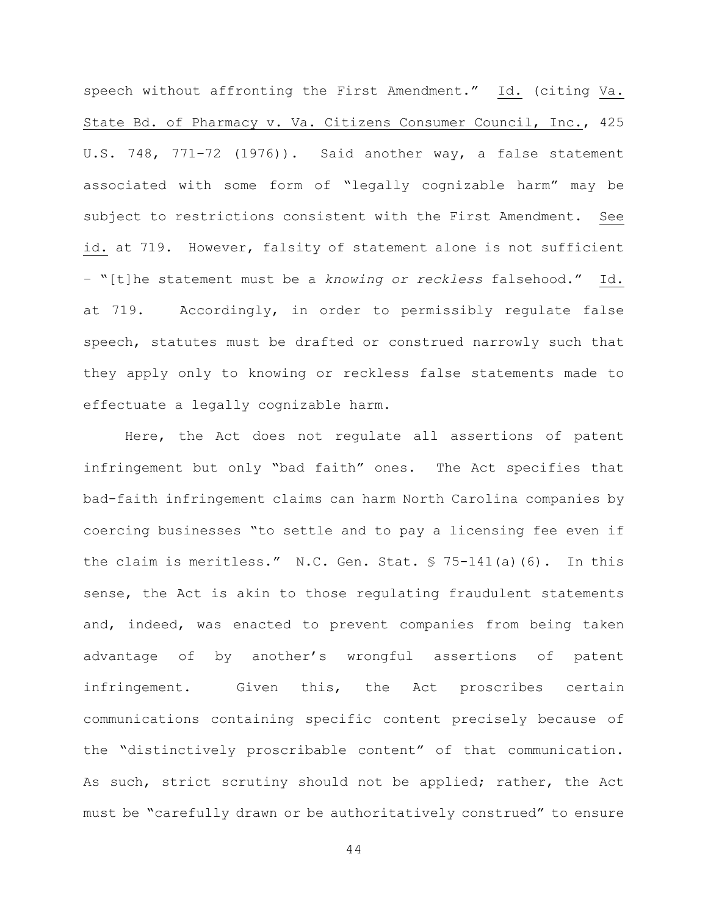speech without affronting the First Amendment." Id. (citing Va. State Bd. of Pharmacy v. Va. Citizens Consumer Council, Inc., 425 U.S. 748, 771–72 (1976)). Said another way, a false statement associated with some form of "legally cognizable harm" may be subject to restrictions consistent with the First Amendment. See id. at 719. However, falsity of statement alone is not sufficient – "[t]he statement must be a *knowing or reckless* falsehood." Id. at 719. Accordingly, in order to permissibly regulate false speech, statutes must be drafted or construed narrowly such that they apply only to knowing or reckless false statements made to effectuate a legally cognizable harm.

Here, the Act does not regulate all assertions of patent infringement but only "bad faith" ones. The Act specifies that bad-faith infringement claims can harm North Carolina companies by coercing businesses "to settle and to pay a licensing fee even if the claim is meritless." N.C. Gen. Stat.  $$ 75-141(a) (6)$ . In this sense, the Act is akin to those regulating fraudulent statements and, indeed, was enacted to prevent companies from being taken advantage of by another's wrongful assertions of patent infringement. Given this, the Act proscribes certain communications containing specific content precisely because of the "distinctively proscribable content" of that communication. As such, strict scrutiny should not be applied; rather, the Act must be "carefully drawn or be authoritatively construed" to ensure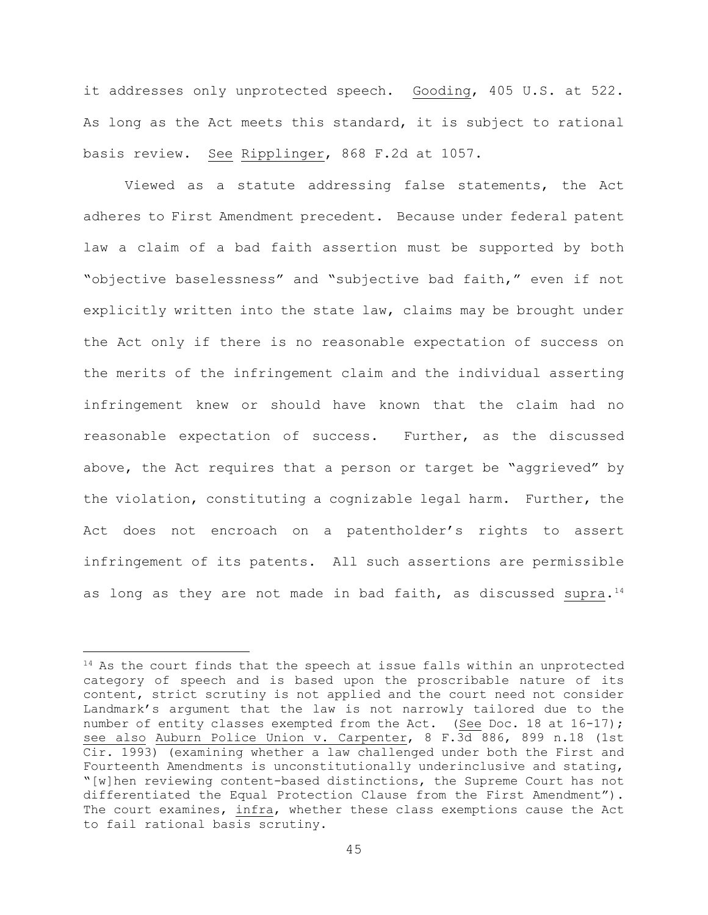it addresses only unprotected speech. Gooding, 405 U.S. at 522. As long as the Act meets this standard, it is subject to rational basis review. See Ripplinger, 868 F.2d at 1057.

Viewed as a statute addressing false statements, the Act adheres to First Amendment precedent. Because under federal patent law a claim of a bad faith assertion must be supported by both "objective baselessness" and "subjective bad faith," even if not explicitly written into the state law, claims may be brought under the Act only if there is no reasonable expectation of success on the merits of the infringement claim and the individual asserting infringement knew or should have known that the claim had no reasonable expectation of success. Further, as the discussed above, the Act requires that a person or target be "aggrieved" by the violation, constituting a cognizable legal harm. Further, the Act does not encroach on a patentholder's rights to assert infringement of its patents. All such assertions are permissible as long as they are not made in bad faith, as discussed supra.<sup>14</sup>

 $14$  As the court finds that the speech at issue falls within an unprotected category of speech and is based upon the proscribable nature of its content, strict scrutiny is not applied and the court need not consider Landmark's argument that the law is not narrowly tailored due to the number of entity classes exempted from the Act. (See Doc. 18 at 16-17); see also Auburn Police Union v. Carpenter, 8 F.3d 886, 899 n.18 (1st Cir. 1993) (examining whether a law challenged under both the First and Fourteenth Amendments is unconstitutionally underinclusive and stating, "[w]hen reviewing content-based distinctions, the Supreme Court has not differentiated the Equal Protection Clause from the First Amendment"). The court examines, infra, whether these class exemptions cause the Act to fail rational basis scrutiny.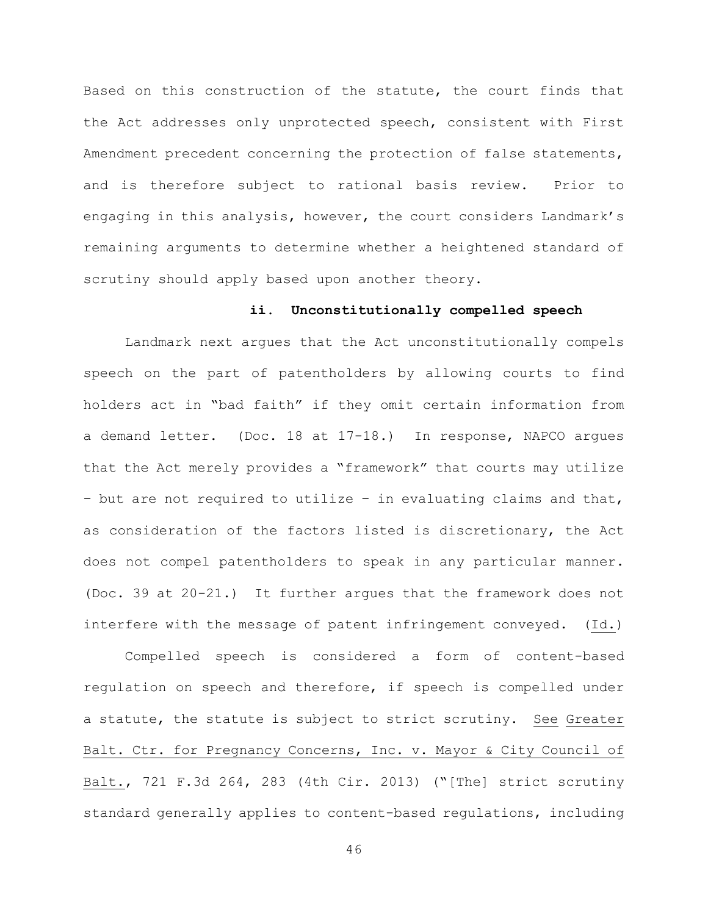Based on this construction of the statute, the court finds that the Act addresses only unprotected speech, consistent with First Amendment precedent concerning the protection of false statements, and is therefore subject to rational basis review. Prior to engaging in this analysis, however, the court considers Landmark's remaining arguments to determine whether a heightened standard of scrutiny should apply based upon another theory.

# **ii. Unconstitutionally compelled speech**

Landmark next argues that the Act unconstitutionally compels speech on the part of patentholders by allowing courts to find holders act in "bad faith" if they omit certain information from a demand letter. (Doc. 18 at 17-18.) In response, NAPCO argues that the Act merely provides a "framework" that courts may utilize – but are not required to utilize – in evaluating claims and that, as consideration of the factors listed is discretionary, the Act does not compel patentholders to speak in any particular manner. (Doc. 39 at 20-21.) It further argues that the framework does not interfere with the message of patent infringement conveyed. (Id.)

Compelled speech is considered a form of content-based regulation on speech and therefore, if speech is compelled under a statute, the statute is subject to strict scrutiny. See Greater Balt. Ctr. for Pregnancy Concerns, Inc. v. Mayor & City Council of Balt., 721 F.3d 264, 283 (4th Cir. 2013) ("[The] strict scrutiny standard generally applies to content-based regulations, including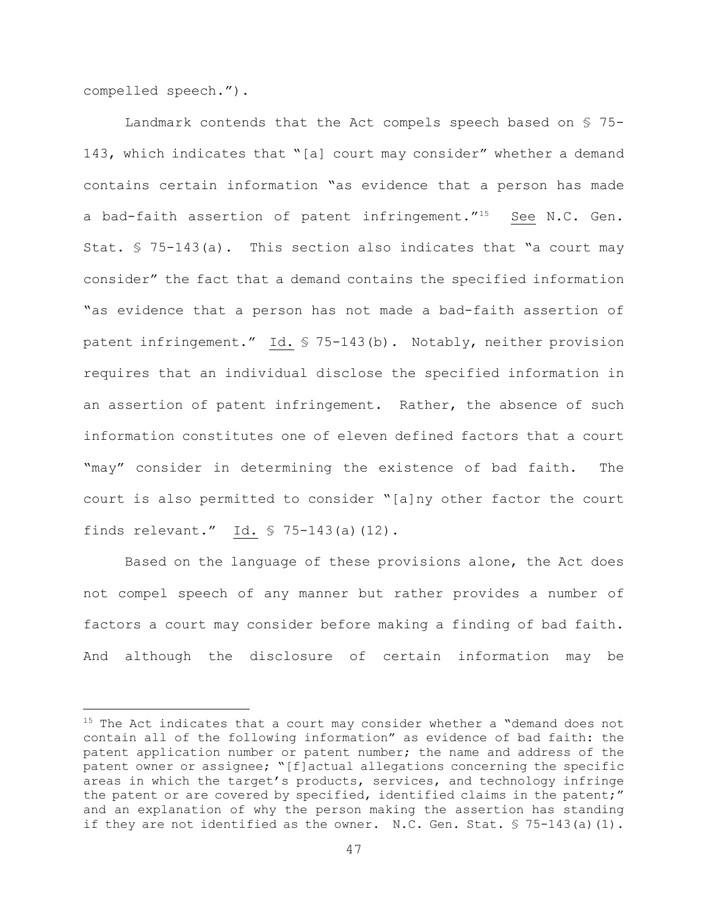compelled speech.").

Landmark contends that the Act compels speech based on § 75- 143, which indicates that "[a] court may consider" whether a demand contains certain information "as evidence that a person has made a bad-faith assertion of patent infringement."15 See N.C. Gen. Stat. § 75-143(a). This section also indicates that "a court may consider" the fact that a demand contains the specified information "as evidence that a person has not made a bad-faith assertion of patent infringement." Id. § 75-143(b). Notably, neither provision requires that an individual disclose the specified information in an assertion of patent infringement. Rather, the absence of such information constitutes one of eleven defined factors that a court "may" consider in determining the existence of bad faith. The court is also permitted to consider "[a]ny other factor the court finds relevant." Id. § 75-143(a)(12).

Based on the language of these provisions alone, the Act does not compel speech of any manner but rather provides a number of factors a court may consider before making a finding of bad faith. And although the disclosure of certain information may be

 $15$  The Act indicates that a court may consider whether a "demand does not contain all of the following information" as evidence of bad faith: the patent application number or patent number; the name and address of the patent owner or assignee; "[f]actual allegations concerning the specific areas in which the target's products, services, and technology infringe the patent or are covered by specified, identified claims in the patent;" and an explanation of why the person making the assertion has standing if they are not identified as the owner. N.C. Gen. Stat. § 75-143(a)(1).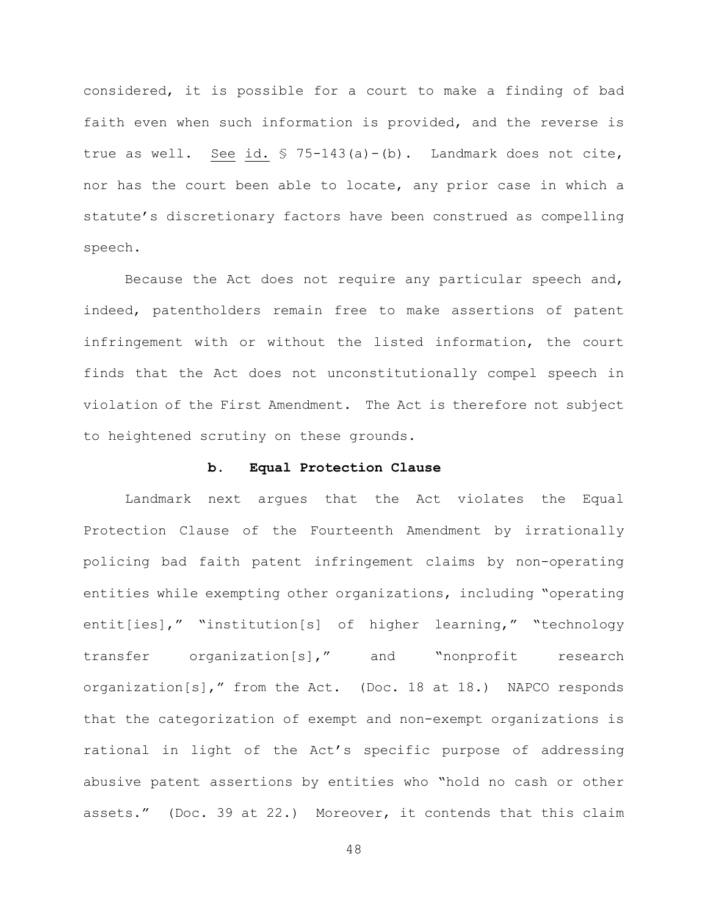considered, it is possible for a court to make a finding of bad faith even when such information is provided, and the reverse is true as well. See id. § 75-143(a)-(b). Landmark does not cite, nor has the court been able to locate, any prior case in which a statute's discretionary factors have been construed as compelling speech.

Because the Act does not require any particular speech and, indeed, patentholders remain free to make assertions of patent infringement with or without the listed information, the court finds that the Act does not unconstitutionally compel speech in violation of the First Amendment. The Act is therefore not subject to heightened scrutiny on these grounds.

### **b. Equal Protection Clause**

Landmark next argues that the Act violates the Equal Protection Clause of the Fourteenth Amendment by irrationally policing bad faith patent infringement claims by non-operating entities while exempting other organizations, including "operating entit[ies]," "institution[s] of higher learning," "technology transfer organization[s]," and "nonprofit research organization[s]," from the Act. (Doc. 18 at 18.) NAPCO responds that the categorization of exempt and non-exempt organizations is rational in light of the Act's specific purpose of addressing abusive patent assertions by entities who "hold no cash or other assets." (Doc. 39 at 22.) Moreover, it contends that this claim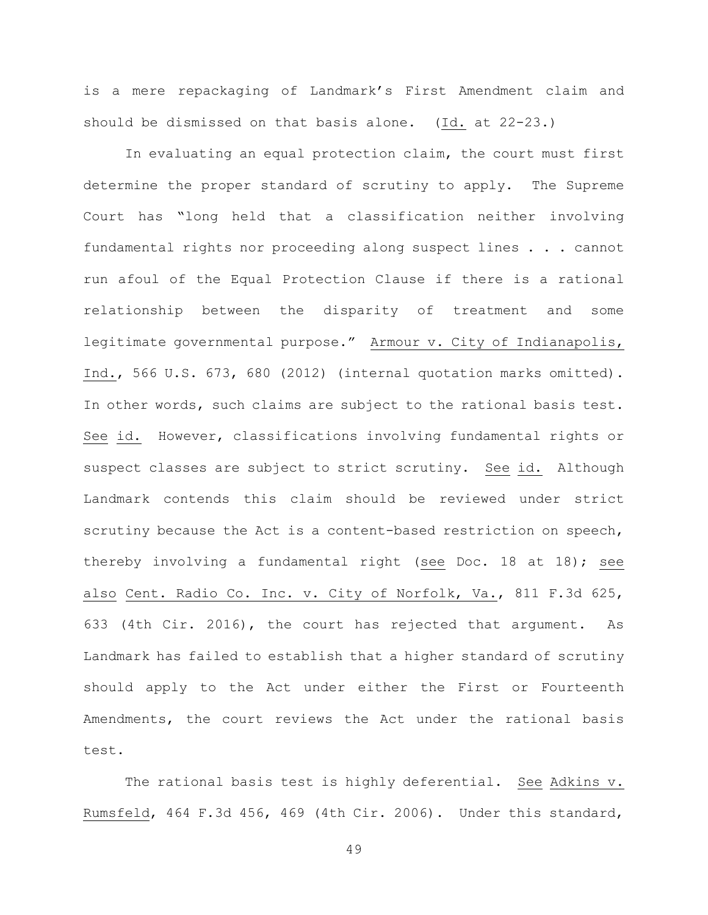is a mere repackaging of Landmark's First Amendment claim and should be dismissed on that basis alone. (Id. at 22-23.)

In evaluating an equal protection claim, the court must first determine the proper standard of scrutiny to apply. The Supreme Court has "long held that a classification neither involving fundamental rights nor proceeding along suspect lines . . . cannot run afoul of the Equal Protection Clause if there is a rational relationship between the disparity of treatment and some legitimate governmental purpose." Armour v. City of Indianapolis, Ind., 566 U.S. 673, 680 (2012) (internal quotation marks omitted). In other words, such claims are subject to the rational basis test. See id. However, classifications involving fundamental rights or suspect classes are subject to strict scrutiny. See id. Although Landmark contends this claim should be reviewed under strict scrutiny because the Act is a content-based restriction on speech, thereby involving a fundamental right (see Doc. 18 at 18); see also Cent. Radio Co. Inc. v. City of Norfolk, Va., 811 F.3d 625, 633 (4th Cir. 2016), the court has rejected that argument. As Landmark has failed to establish that a higher standard of scrutiny should apply to the Act under either the First or Fourteenth Amendments, the court reviews the Act under the rational basis test.

The rational basis test is highly deferential. See Adkins v. Rumsfeld, 464 F.3d 456, 469 (4th Cir. 2006). Under this standard,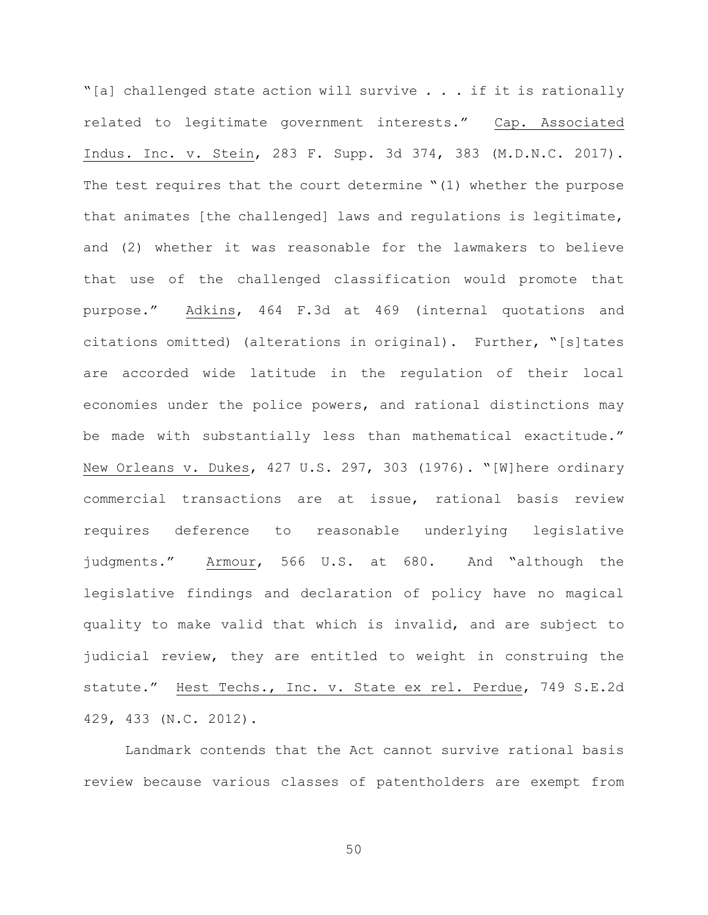"[a] challenged state action will survive . . . if it is rationally related to legitimate government interests." Cap. Associated Indus. Inc. v. Stein, 283 F. Supp. 3d 374, 383 (M.D.N.C. 2017). The test requires that the court determine "(1) whether the purpose that animates [the challenged] laws and regulations is legitimate, and (2) whether it was reasonable for the lawmakers to believe that use of the challenged classification would promote that purpose." Adkins, 464 F.3d at 469 (internal quotations and citations omitted) (alterations in original). Further, "[s]tates are accorded wide latitude in the regulation of their local economies under the police powers, and rational distinctions may be made with substantially less than mathematical exactitude." New Orleans v. Dukes, 427 U.S. 297, 303 (1976). "[W]here ordinary commercial transactions are at issue, rational basis review requires deference to reasonable underlying legislative judgments." Armour, 566 U.S. at 680. And "although the legislative findings and declaration of policy have no magical quality to make valid that which is invalid, and are subject to judicial review, they are entitled to weight in construing the statute." Hest Techs., Inc. v. State ex rel. Perdue, 749 S.E.2d 429, 433 (N.C. 2012).

Landmark contends that the Act cannot survive rational basis review because various classes of patentholders are exempt from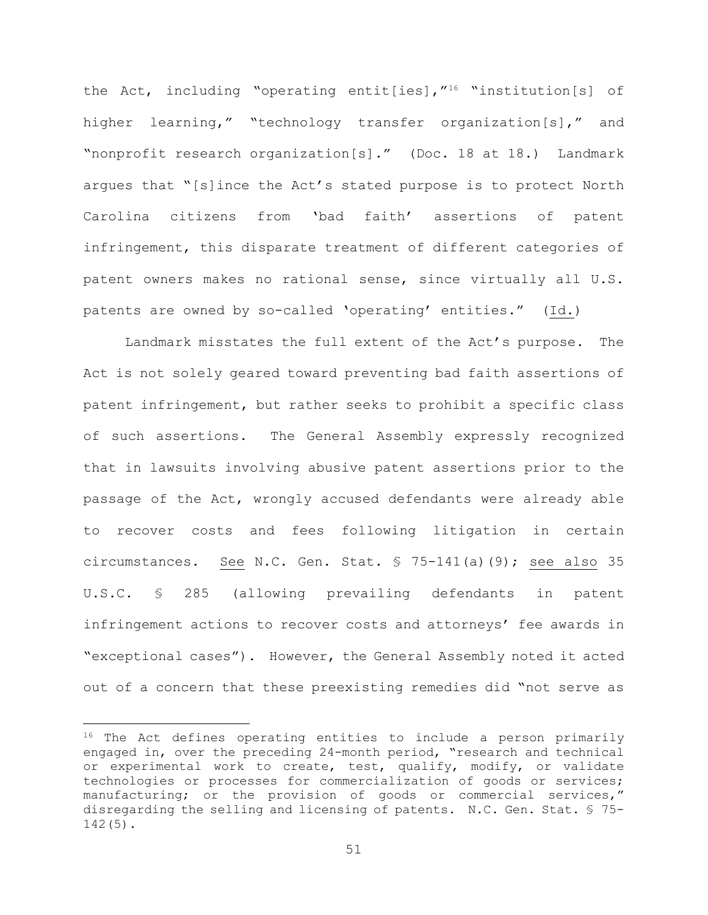the Act, including "operating entit[ies],"16 "institution[s] of higher learning," "technology transfer organization[s]," and "nonprofit research organization[s]." (Doc. 18 at 18.) Landmark argues that "[s]ince the Act's stated purpose is to protect North Carolina citizens from 'bad faith' assertions of patent infringement, this disparate treatment of different categories of patent owners makes no rational sense, since virtually all U.S. patents are owned by so-called 'operating' entities." (Id.)

Landmark misstates the full extent of the Act's purpose. The Act is not solely geared toward preventing bad faith assertions of patent infringement, but rather seeks to prohibit a specific class of such assertions. The General Assembly expressly recognized that in lawsuits involving abusive patent assertions prior to the passage of the Act, wrongly accused defendants were already able to recover costs and fees following litigation in certain circumstances. See N.C. Gen. Stat.  $\frac{1}{5}$  75-141(a)(9); see also 35 U.S.C. § 285 (allowing prevailing defendants in patent infringement actions to recover costs and attorneys' fee awards in "exceptional cases"). However, the General Assembly noted it acted out of a concern that these preexisting remedies did "not serve as

<sup>&</sup>lt;sup>16</sup> The Act defines operating entities to include a person primarily engaged in, over the preceding 24-month period, "research and technical or experimental work to create, test, qualify, modify, or validate technologies or processes for commercialization of goods or services; manufacturing; or the provision of goods or commercial services," disregarding the selling and licensing of patents. N.C. Gen. Stat. § 75- 142(5).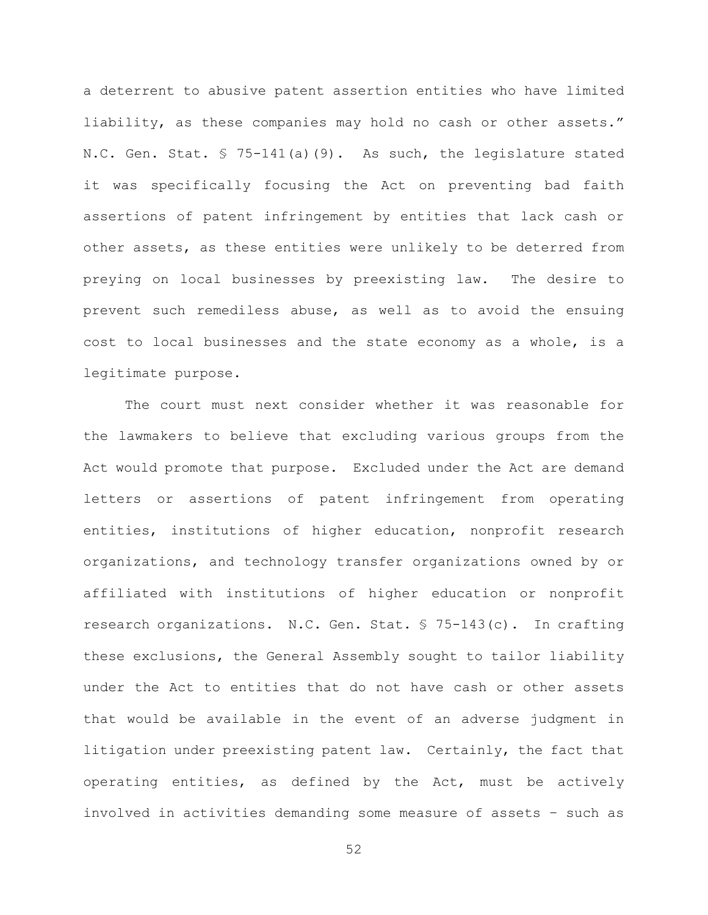a deterrent to abusive patent assertion entities who have limited liability, as these companies may hold no cash or other assets." N.C. Gen. Stat. § 75-141(a)(9). As such, the legislature stated it was specifically focusing the Act on preventing bad faith assertions of patent infringement by entities that lack cash or other assets, as these entities were unlikely to be deterred from preying on local businesses by preexisting law. The desire to prevent such remediless abuse, as well as to avoid the ensuing cost to local businesses and the state economy as a whole, is a legitimate purpose.

The court must next consider whether it was reasonable for the lawmakers to believe that excluding various groups from the Act would promote that purpose. Excluded under the Act are demand letters or assertions of patent infringement from operating entities, institutions of higher education, nonprofit research organizations, and technology transfer organizations owned by or affiliated with institutions of higher education or nonprofit research organizations. N.C. Gen. Stat. § 75-143(c). In crafting these exclusions, the General Assembly sought to tailor liability under the Act to entities that do not have cash or other assets that would be available in the event of an adverse judgment in litigation under preexisting patent law. Certainly, the fact that operating entities, as defined by the Act, must be actively involved in activities demanding some measure of assets – such as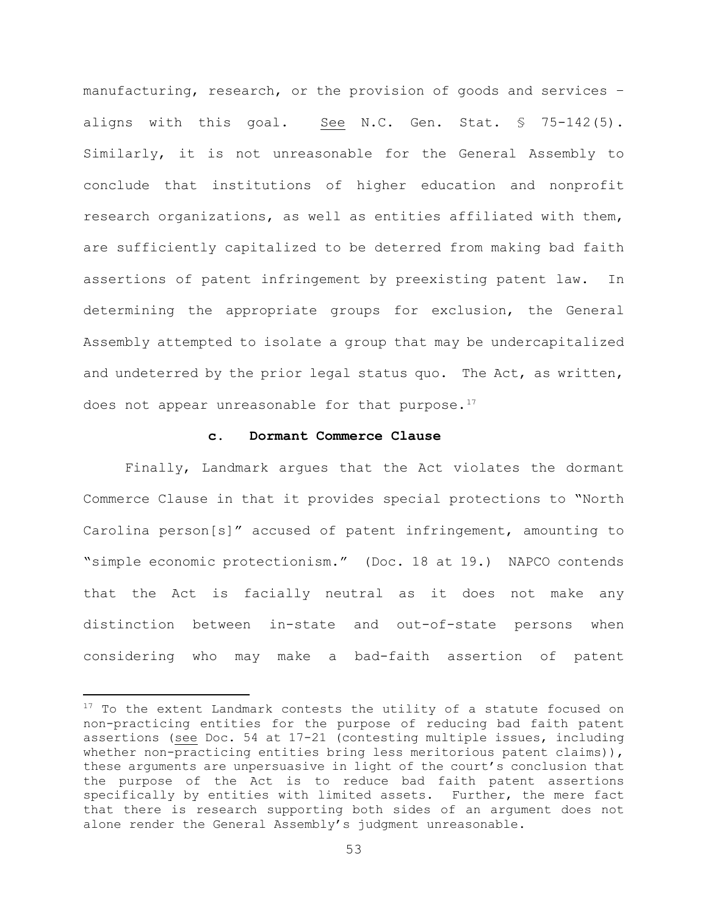manufacturing, research, or the provision of goods and services – aligns with this goal. See N.C. Gen. Stat. § 75-142(5). Similarly, it is not unreasonable for the General Assembly to conclude that institutions of higher education and nonprofit research organizations, as well as entities affiliated with them, are sufficiently capitalized to be deterred from making bad faith assertions of patent infringement by preexisting patent law. In determining the appropriate groups for exclusion, the General Assembly attempted to isolate a group that may be undercapitalized and undeterred by the prior legal status quo. The Act, as written, does not appear unreasonable for that purpose. $17$ 

#### **c. Dormant Commerce Clause**

Finally, Landmark argues that the Act violates the dormant Commerce Clause in that it provides special protections to "North Carolina person[s]" accused of patent infringement, amounting to "simple economic protectionism." (Doc. 18 at 19.) NAPCO contends that the Act is facially neutral as it does not make any distinction between in-state and out-of-state persons when considering who may make a bad-faith assertion of patent

 $17$  To the extent Landmark contests the utility of a statute focused on non-practicing entities for the purpose of reducing bad faith patent assertions (see Doc. 54 at 17-21 (contesting multiple issues, including whether non-practicing entities bring less meritorious patent claims)), these arguments are unpersuasive in light of the court's conclusion that the purpose of the Act is to reduce bad faith patent assertions specifically by entities with limited assets. Further, the mere fact that there is research supporting both sides of an argument does not alone render the General Assembly's judgment unreasonable.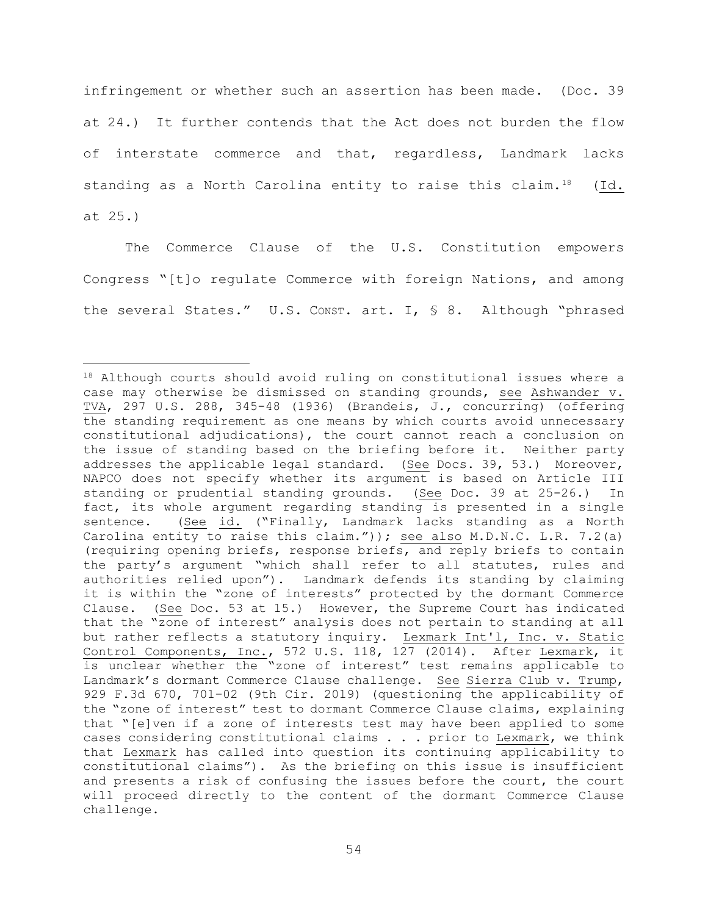infringement or whether such an assertion has been made. (Doc. 39 at 24.) It further contends that the Act does not burden the flow of interstate commerce and that, regardless, Landmark lacks standing as a North Carolina entity to raise this claim.<sup>18</sup> (Id. at 25.)

The Commerce Clause of the U.S. Constitution empowers Congress "[t]o regulate Commerce with foreign Nations, and among the several States." U.S. CONST. art. I, § 8. Although "phrased

<sup>&</sup>lt;sup>18</sup> Although courts should avoid ruling on constitutional issues where a case may otherwise be dismissed on standing grounds, see Ashwander v. TVA, 297 U.S. 288, 345-48 (1936) (Brandeis, J., concurring) (offering the standing requirement as one means by which courts avoid unnecessary constitutional adjudications), the court cannot reach a conclusion on the issue of standing based on the briefing before it. Neither party addresses the applicable legal standard. (See Docs. 39, 53.) Moreover, NAPCO does not specify whether its argument is based on Article III standing or prudential standing grounds. (See Doc. 39 at 25-26.) In fact, its whole argument regarding standing is presented in a single sentence. (See id. ("Finally, Landmark lacks standing as a North Carolina entity to raise this claim.")); see also M.D.N.C. L.R. 7.2(a) (requiring opening briefs, response briefs, and reply briefs to contain the party's argument "which shall refer to all statutes, rules and authorities relied upon"). Landmark defends its standing by claiming it is within the "zone of interests" protected by the dormant Commerce Clause. (See Doc. 53 at 15.) However, the Supreme Court has indicated that the "zone of interest" analysis does not pertain to standing at all but rather reflects a statutory inquiry. Lexmark Int'l, Inc. v. Static Control Components, Inc., 572 U.S. 118, 127 (2014). After Lexmark, it is unclear whether the "zone of interest" test remains applicable to Landmark's dormant Commerce Clause challenge. See Sierra Club v. Trump, 929 F.3d 670, 701–02 (9th Cir. 2019) (questioning the applicability of the "zone of interest" test to dormant Commerce Clause claims, explaining that "[e]ven if a zone of interests test may have been applied to some cases considering constitutional claims . . . prior to Lexmark, we think that Lexmark has called into question its continuing applicability to constitutional claims"). As the briefing on this issue is insufficient and presents a risk of confusing the issues before the court, the court will proceed directly to the content of the dormant Commerce Clause challenge.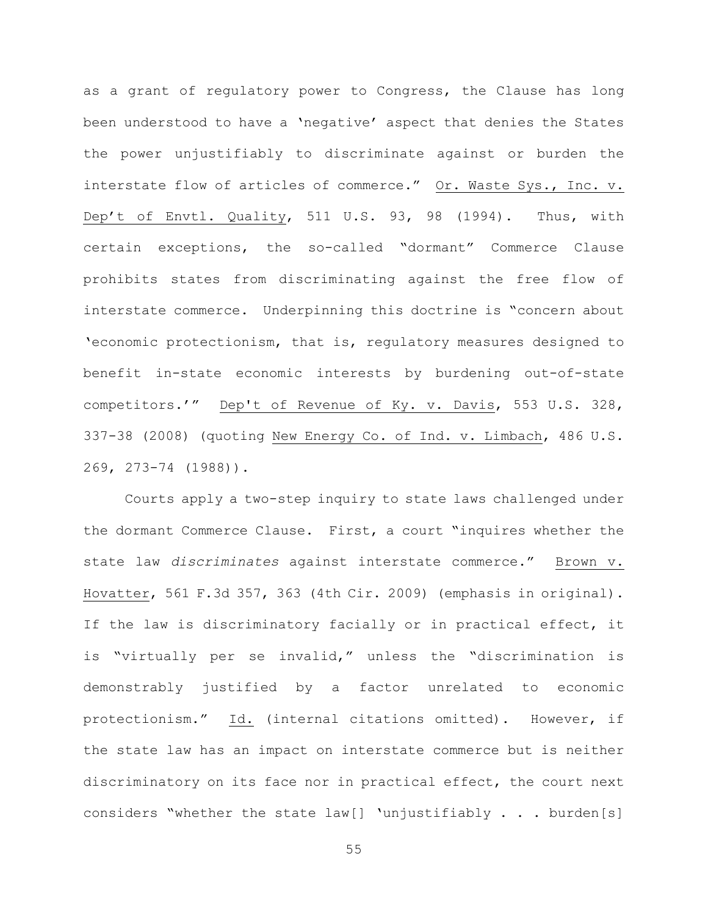as a grant of regulatory power to Congress, the Clause has long been understood to have a 'negative' aspect that denies the States the power unjustifiably to discriminate against or burden the interstate flow of articles of commerce." Or. Waste Sys., Inc. v. Dep't of Envtl. Quality, 511 U.S. 93, 98 (1994). Thus, with certain exceptions, the so-called "dormant" Commerce Clause prohibits states from discriminating against the free flow of interstate commerce. Underpinning this doctrine is "concern about 'economic protectionism, that is, regulatory measures designed to benefit in-state economic interests by burdening out-of-state competitors.'" Dep't of Revenue of Ky. v. Davis, 553 U.S. 328, 337-38 (2008) (quoting New Energy Co. of Ind. v. Limbach, 486 U.S. 269, 273-74 (1988)).

Courts apply a two-step inquiry to state laws challenged under the dormant Commerce Clause. First, a court "inquires whether the state law *discriminates* against interstate commerce." Brown v. Hovatter, 561 F.3d 357, 363 (4th Cir. 2009) (emphasis in original). If the law is discriminatory facially or in practical effect, it is "virtually per se invalid," unless the "discrimination is demonstrably justified by a factor unrelated to economic protectionism." Id. (internal citations omitted). However, if the state law has an impact on interstate commerce but is neither discriminatory on its face nor in practical effect, the court next considers "whether the state law[] 'unjustifiably . . . burden[s]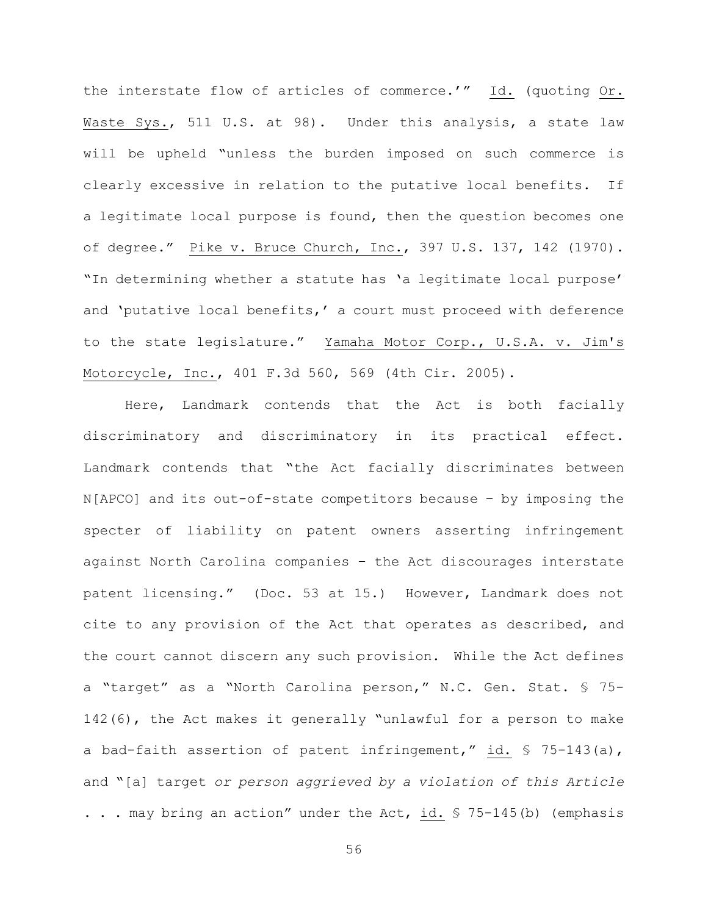the interstate flow of articles of commerce.'"  $\underline{Id.}$  (quoting  $\underline{Or.}$ Waste Sys., 511 U.S. at 98). Under this analysis, a state law will be upheld "unless the burden imposed on such commerce is clearly excessive in relation to the putative local benefits. If a legitimate local purpose is found, then the question becomes one of degree." Pike v. Bruce Church, Inc., 397 U.S. 137, 142 (1970). "In determining whether a statute has 'a legitimate local purpose' and 'putative local benefits,' a court must proceed with deference to the state legislature." Yamaha Motor Corp., U.S.A. v. Jim's Motorcycle, Inc., 401 F.3d 560, 569 (4th Cir. 2005).

Here, Landmark contends that the Act is both facially discriminatory and discriminatory in its practical effect. Landmark contends that "the Act facially discriminates between N[APCO] and its out-of-state competitors because – by imposing the specter of liability on patent owners asserting infringement against North Carolina companies – the Act discourages interstate patent licensing." (Doc. 53 at 15.) However, Landmark does not cite to any provision of the Act that operates as described, and the court cannot discern any such provision. While the Act defines a "target" as a "North Carolina person," N.C. Gen. Stat. § 75- 142(6), the Act makes it generally "unlawful for a person to make a bad-faith assertion of patent infringement," id. § 75-143(a), and "[a] target *or person aggrieved by a violation of this Article* . . . may bring an action" under the Act, id. § 75-145(b) (emphasis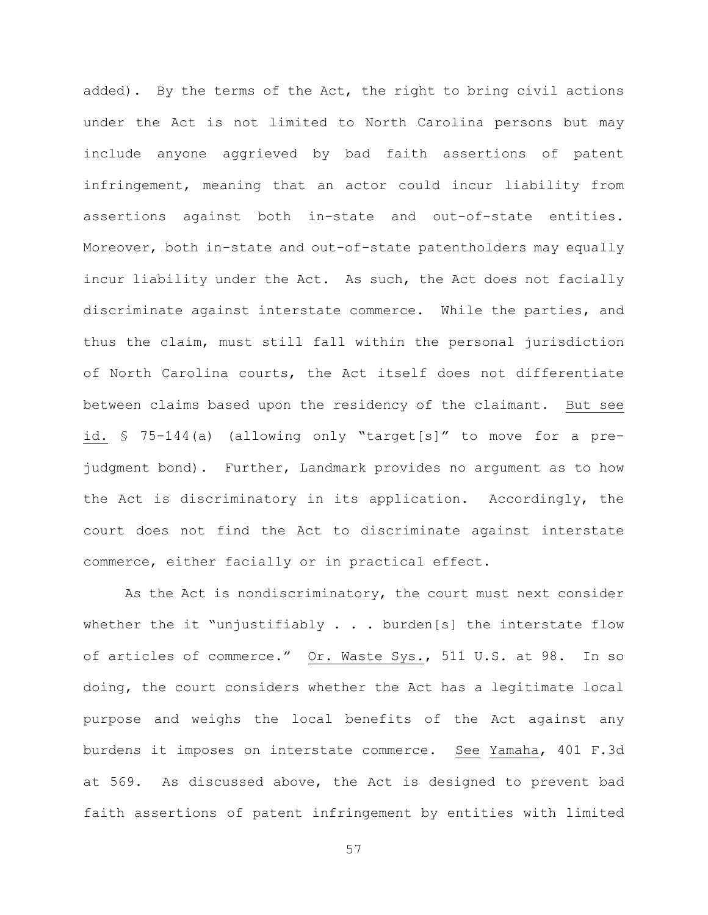added). By the terms of the Act, the right to bring civil actions under the Act is not limited to North Carolina persons but may include anyone aggrieved by bad faith assertions of patent infringement, meaning that an actor could incur liability from assertions against both in-state and out-of-state entities. Moreover, both in-state and out-of-state patentholders may equally incur liability under the Act. As such, the Act does not facially discriminate against interstate commerce. While the parties, and thus the claim, must still fall within the personal jurisdiction of North Carolina courts, the Act itself does not differentiate between claims based upon the residency of the claimant. But see id. § 75-144(a) (allowing only "target[s]" to move for a prejudgment bond). Further, Landmark provides no argument as to how the Act is discriminatory in its application. Accordingly, the court does not find the Act to discriminate against interstate commerce, either facially or in practical effect.

As the Act is nondiscriminatory, the court must next consider whether the it "unjustifiably  $\ldots$  burden[s] the interstate flow of articles of commerce." Or. Waste Sys., 511 U.S. at 98. In so doing, the court considers whether the Act has a legitimate local purpose and weighs the local benefits of the Act against any burdens it imposes on interstate commerce. See Yamaha, 401 F.3d at 569. As discussed above, the Act is designed to prevent bad faith assertions of patent infringement by entities with limited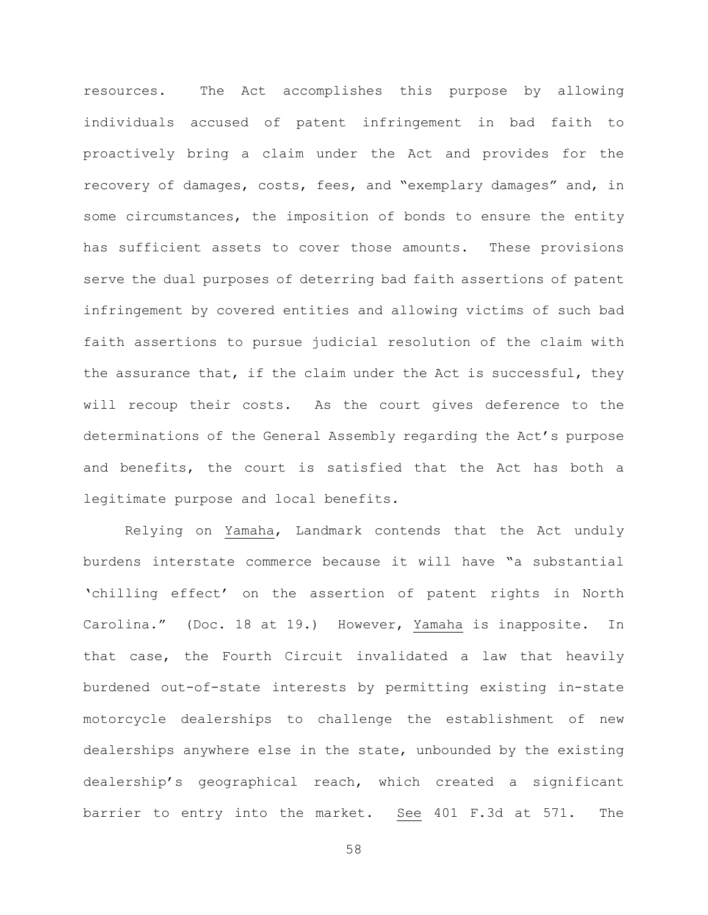resources. The Act accomplishes this purpose by allowing individuals accused of patent infringement in bad faith to proactively bring a claim under the Act and provides for the recovery of damages, costs, fees, and "exemplary damages" and, in some circumstances, the imposition of bonds to ensure the entity has sufficient assets to cover those amounts. These provisions serve the dual purposes of deterring bad faith assertions of patent infringement by covered entities and allowing victims of such bad faith assertions to pursue judicial resolution of the claim with the assurance that, if the claim under the Act is successful, they will recoup their costs. As the court gives deference to the determinations of the General Assembly regarding the Act's purpose and benefits, the court is satisfied that the Act has both a legitimate purpose and local benefits.

Relying on Yamaha, Landmark contends that the Act unduly burdens interstate commerce because it will have "a substantial 'chilling effect' on the assertion of patent rights in North Carolina." (Doc. 18 at 19.) However, Yamaha is inapposite. In that case, the Fourth Circuit invalidated a law that heavily burdened out-of-state interests by permitting existing in-state motorcycle dealerships to challenge the establishment of new dealerships anywhere else in the state, unbounded by the existing dealership's geographical reach, which created a significant barrier to entry into the market. See 401 F.3d at 571. The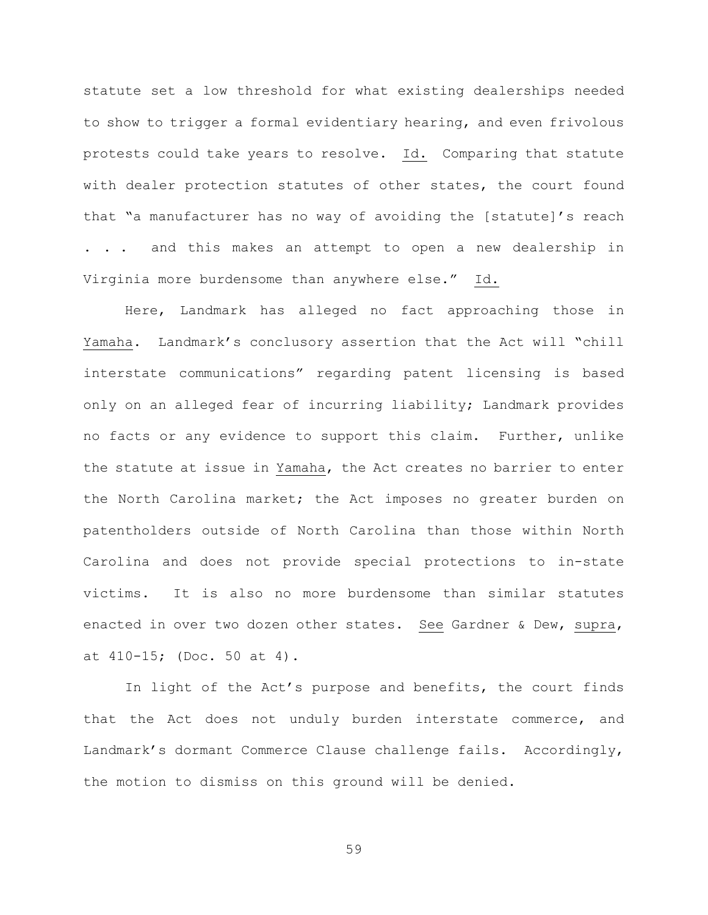statute set a low threshold for what existing dealerships needed to show to trigger a formal evidentiary hearing, and even frivolous protests could take years to resolve. Id. Comparing that statute with dealer protection statutes of other states, the court found that "a manufacturer has no way of avoiding the [statute]'s reach . . . and this makes an attempt to open a new dealership in Virginia more burdensome than anywhere else." Id.

Here, Landmark has alleged no fact approaching those in Yamaha. Landmark's conclusory assertion that the Act will "chill interstate communications" regarding patent licensing is based only on an alleged fear of incurring liability; Landmark provides no facts or any evidence to support this claim. Further, unlike the statute at issue in Yamaha, the Act creates no barrier to enter the North Carolina market; the Act imposes no greater burden on patentholders outside of North Carolina than those within North Carolina and does not provide special protections to in-state victims. It is also no more burdensome than similar statutes enacted in over two dozen other states. See Gardner & Dew, supra, at 410-15; (Doc. 50 at 4).

In light of the Act's purpose and benefits, the court finds that the Act does not unduly burden interstate commerce, and Landmark's dormant Commerce Clause challenge fails. Accordingly, the motion to dismiss on this ground will be denied.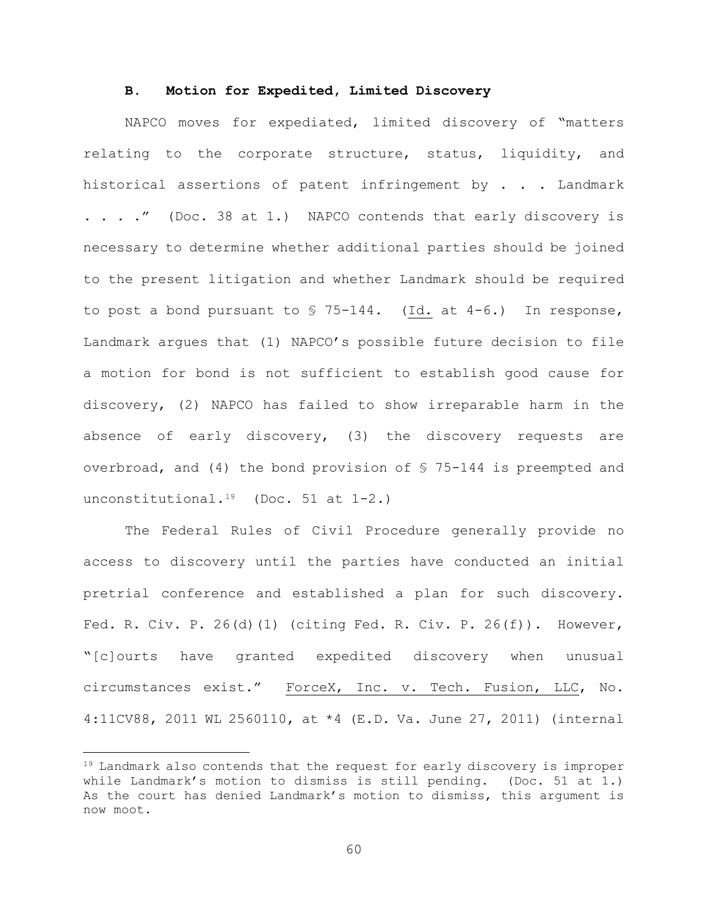# **B. Motion for Expedited, Limited Discovery**

NAPCO moves for expediated, limited discovery of "matters relating to the corporate structure, status, liquidity, and historical assertions of patent infringement by . . . Landmark . . . ." (Doc. 38 at 1.) NAPCO contends that early discovery is necessary to determine whether additional parties should be joined to the present litigation and whether Landmark should be required to post a bond pursuant to § 75-144. (Id. at 4-6.) In response, Landmark argues that (1) NAPCO's possible future decision to file a motion for bond is not sufficient to establish good cause for discovery, (2) NAPCO has failed to show irreparable harm in the absence of early discovery, (3) the discovery requests are overbroad, and (4) the bond provision of § 75-144 is preempted and unconstitutional.<sup>19</sup> (Doc. 51 at  $1-2$ .)

The Federal Rules of Civil Procedure generally provide no access to discovery until the parties have conducted an initial pretrial conference and established a plan for such discovery. Fed. R. Civ. P. 26(d)(1) (citing Fed. R. Civ. P. 26(f)). However, "[c]ourts have granted expedited discovery when unusual circumstances exist." ForceX, Inc. v. Tech. Fusion, LLC, No. 4:11CV88, 2011 WL 2560110, at \*4 (E.D. Va. June 27, 2011) (internal

 $19$  Landmark also contends that the request for early discovery is improper while Landmark's motion to dismiss is still pending. (Doc. 51 at 1.) As the court has denied Landmark's motion to dismiss, this argument is now moot.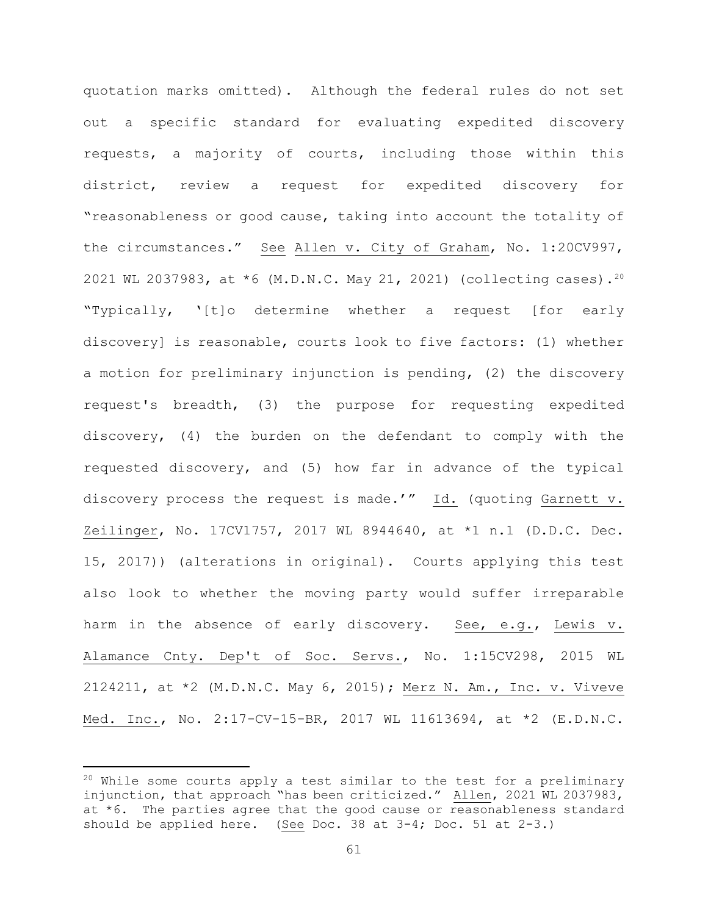quotation marks omitted). Although the federal rules do not set out a specific standard for evaluating expedited discovery requests, a majority of courts, including those within this district, review a request for expedited discovery for "reasonableness or good cause, taking into account the totality of the circumstances." See Allen v. City of Graham, No. 1:20CV997, 2021 WL 2037983, at \*6 (M.D.N.C. May 21, 2021) (collecting cases).20 "Typically, '[t]o determine whether a request [for early discovery] is reasonable, courts look to five factors: (1) whether a motion for preliminary injunction is pending, (2) the discovery request's breadth, (3) the purpose for requesting expedited discovery, (4) the burden on the defendant to comply with the requested discovery, and (5) how far in advance of the typical discovery process the request is made.'" Id. (quoting Garnett v. Zeilinger, No. 17CV1757, 2017 WL 8944640, at \*1 n.1 (D.D.C. Dec. 15, 2017)) (alterations in original). Courts applying this test also look to whether the moving party would suffer irreparable harm in the absence of early discovery. See, e.g., Lewis v. Alamance Cnty. Dep't of Soc. Servs., No. 1:15CV298, 2015 WL 2124211, at \*2 (M.D.N.C. May 6, 2015); Merz N. Am., Inc. v. Viveve Med. Inc., No. 2:17-CV-15-BR, 2017 WL 11613694, at \*2 (E.D.N.C.

<sup>&</sup>lt;sup>20</sup> While some courts apply a test similar to the test for a preliminary injunction, that approach "has been criticized." Allen, 2021 WL 2037983, at \*6. The parties agree that the good cause or reasonableness standard should be applied here. (See Doc. 38 at  $3-4$ ; Doc. 51 at  $2-3$ .)